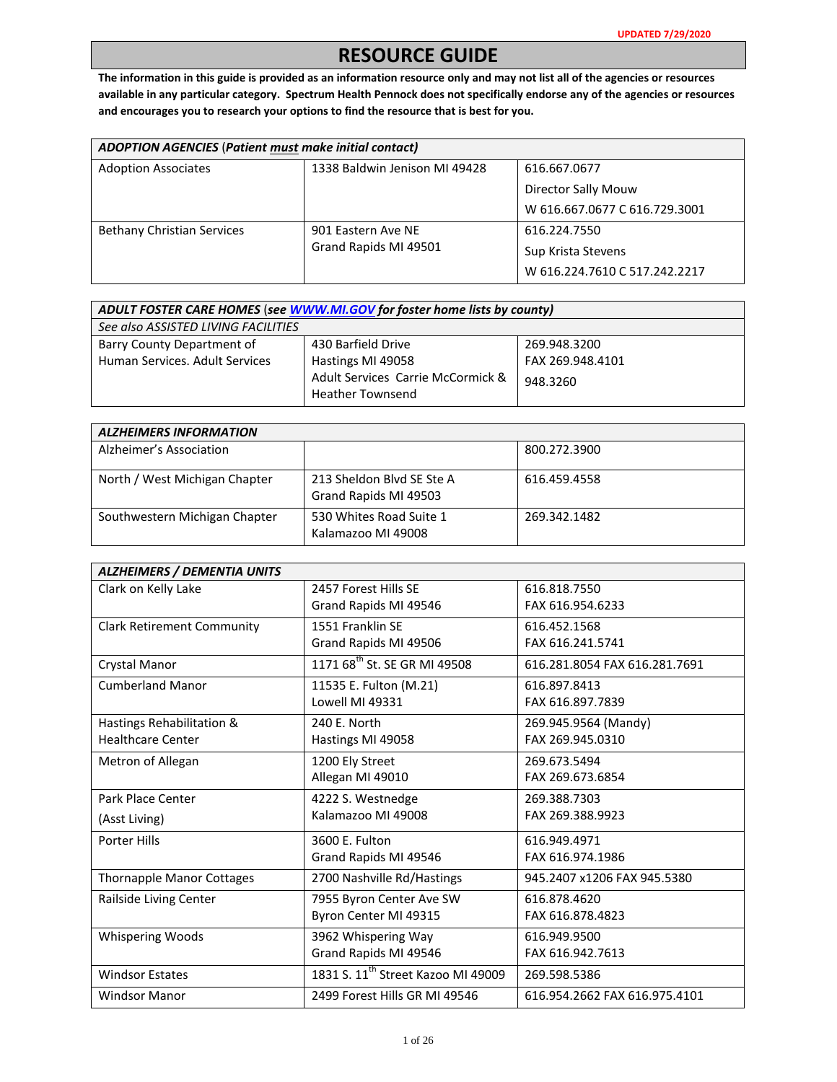## **RESOURCE GUIDE**

**The information in this guide is provided as an information resource only and may not list all of the agencies or resources available in any particular category. Spectrum Health Pennock does not specifically endorse any of the agencies or resources and encourages you to research your options to find the resource that is best for you.** 

| ADOPTION AGENCIES (Patient must make initial contact) |                               |                               |
|-------------------------------------------------------|-------------------------------|-------------------------------|
| <b>Adoption Associates</b>                            | 1338 Baldwin Jenison MI 49428 | 616.667.0677                  |
|                                                       |                               | Director Sally Mouw           |
|                                                       |                               | W 616.667.0677 C 616.729.3001 |
| <b>Bethany Christian Services</b>                     | 901 Eastern Ave NE            | 616.224.7550                  |
|                                                       | Grand Rapids MI 49501         | Sup Krista Stevens            |
|                                                       |                               | W 616.224.7610 C 517.242.2217 |

| ADULT FOSTER CARE HOMES (see WWW.MI.GOV for foster home lists by county) |                                                              |                                  |
|--------------------------------------------------------------------------|--------------------------------------------------------------|----------------------------------|
| See also ASSISTED LIVING FACILITIES                                      |                                                              |                                  |
| Barry County Department of<br>Human Services, Adult Services             | 430 Barfield Drive<br>Hastings MI 49058                      | 269.948.3200<br>FAX 269.948.4101 |
|                                                                          | Adult Services Carrie McCormick &<br><b>Heather Townsend</b> | 948.3260                         |

| <b>ALZHEIMERS INFORMATION</b> |                                                    |              |
|-------------------------------|----------------------------------------------------|--------------|
| Alzheimer's Association       |                                                    | 800.272.3900 |
| North / West Michigan Chapter | 213 Sheldon Blvd SE Ste A<br>Grand Rapids MI 49503 | 616.459.4558 |
| Southwestern Michigan Chapter | 530 Whites Road Suite 1<br>Kalamazoo MI 49008      | 269.342.1482 |

| <b>ALZHEIMERS / DEMENTIA UNITS</b> |                                                |                               |
|------------------------------------|------------------------------------------------|-------------------------------|
| Clark on Kelly Lake                | 2457 Forest Hills SF                           | 616.818.7550                  |
|                                    | Grand Rapids MI 49546                          | FAX 616.954.6233              |
| <b>Clark Retirement Community</b>  | 1551 Franklin SF                               | 616.452.1568                  |
|                                    | Grand Rapids MI 49506                          | FAX 616.241.5741              |
| Crystal Manor                      | 1171 68 <sup>th</sup> St. SE GR MI 49508       | 616.281.8054 FAX 616.281.7691 |
| <b>Cumberland Manor</b>            | 11535 E. Fulton (M.21)                         | 616.897.8413                  |
|                                    | Lowell MI 49331                                | FAX 616.897.7839              |
| Hastings Rehabilitation &          | 240 E. North                                   | 269.945.9564 (Mandy)          |
| <b>Healthcare Center</b>           | Hastings MI 49058                              | FAX 269.945.0310              |
| Metron of Allegan                  | 1200 Ely Street                                | 269.673.5494                  |
|                                    | Allegan MI 49010                               | FAX 269.673.6854              |
| Park Place Center                  | 4222 S. Westnedge                              | 269.388.7303                  |
| (Asst Living)                      | Kalamazoo MI 49008                             | FAX 269.388.9923              |
| <b>Porter Hills</b>                | 3600 E. Fulton                                 | 616.949.4971                  |
|                                    | Grand Rapids MI 49546                          | FAX 616.974.1986              |
| <b>Thornapple Manor Cottages</b>   | 2700 Nashville Rd/Hastings                     | 945.2407 x1206 FAX 945.5380   |
| Railside Living Center             | 7955 Byron Center Ave SW                       | 616.878.4620                  |
|                                    | Byron Center MI 49315                          | FAX 616.878.4823              |
| <b>Whispering Woods</b>            | 3962 Whispering Way                            | 616.949.9500                  |
|                                    | Grand Rapids MI 49546                          | FAX 616.942.7613              |
| <b>Windsor Estates</b>             | 1831 S. 11 <sup>th</sup> Street Kazoo MI 49009 | 269.598.5386                  |
| <b>Windsor Manor</b>               | 2499 Forest Hills GR MI 49546                  | 616.954.2662 FAX 616.975.4101 |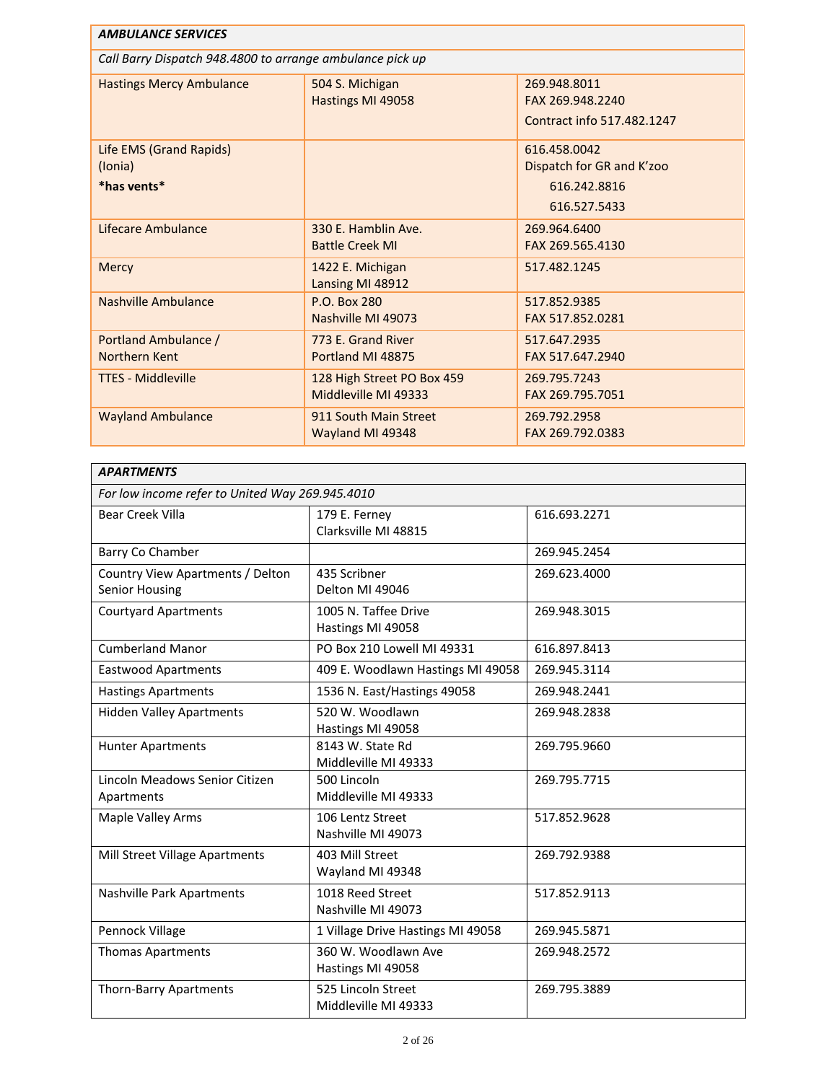| <b>AMBULANCE SERVICES</b>                                 |                                                    |                                                                           |
|-----------------------------------------------------------|----------------------------------------------------|---------------------------------------------------------------------------|
| Call Barry Dispatch 948.4800 to arrange ambulance pick up |                                                    |                                                                           |
| <b>Hastings Mercy Ambulance</b>                           | 504 S. Michigan<br>Hastings MI 49058               | 269.948.8011<br>FAX 269.948.2240<br>Contract info 517.482.1247            |
| Life EMS (Grand Rapids)<br>(Ionia)<br>*has vents*         |                                                    | 616.458.0042<br>Dispatch for GR and K'zoo<br>616.242.8816<br>616.527.5433 |
| Lifecare Ambulance                                        | 330 E. Hamblin Ave.<br><b>Battle Creek MI</b>      | 269.964.6400<br>FAX 269.565.4130                                          |
| Mercy                                                     | 1422 E. Michigan<br>Lansing MI 48912               | 517.482.1245                                                              |
| Nashville Ambulance                                       | P.O. Box 280<br>Nashville MI 49073                 | 517.852.9385<br>FAX 517.852.0281                                          |
| Portland Ambulance /<br>Northern Kent                     | 773 E. Grand River<br>Portland MI 48875            | 517.647.2935<br>FAX 517.647.2940                                          |
| <b>TTES - Middleville</b>                                 | 128 High Street PO Box 459<br>Middleville MI 49333 | 269.795.7243<br>FAX 269.795.7051                                          |
| <b>Wayland Ambulance</b>                                  | 911 South Main Street<br>Wayland MI 49348          | 269.792.2958<br>FAX 269.792.0383                                          |

| <b>APARTMENTS</b>                                  |                                            |              |
|----------------------------------------------------|--------------------------------------------|--------------|
| For low income refer to United Way 269.945.4010    |                                            |              |
| <b>Bear Creek Villa</b>                            | 179 E. Ferney<br>Clarksville MI 48815      | 616.693.2271 |
| Barry Co Chamber                                   |                                            | 269.945.2454 |
| Country View Apartments / Delton<br>Senior Housing | 435 Scribner<br>Delton MI 49046            | 269.623.4000 |
| <b>Courtyard Apartments</b>                        | 1005 N. Taffee Drive<br>Hastings MI 49058  | 269.948.3015 |
| <b>Cumberland Manor</b>                            | PO Box 210 Lowell MI 49331                 | 616.897.8413 |
| <b>Eastwood Apartments</b>                         | 409 E. Woodlawn Hastings MI 49058          | 269.945.3114 |
| <b>Hastings Apartments</b>                         | 1536 N. East/Hastings 49058                | 269.948.2441 |
| <b>Hidden Valley Apartments</b>                    | 520 W. Woodlawn<br>Hastings MI 49058       | 269.948.2838 |
| <b>Hunter Apartments</b>                           | 8143 W. State Rd<br>Middleville MI 49333   | 269.795.9660 |
| Lincoln Meadows Senior Citizen<br>Apartments       | 500 Lincoln<br>Middleville MI 49333        | 269.795.7715 |
| Maple Valley Arms                                  | 106 Lentz Street<br>Nashville MI 49073     | 517.852.9628 |
| Mill Street Village Apartments                     | 403 Mill Street<br>Wayland MI 49348        | 269.792.9388 |
| Nashville Park Apartments                          | 1018 Reed Street<br>Nashville MI 49073     | 517.852.9113 |
| Pennock Village                                    | 1 Village Drive Hastings MI 49058          | 269.945.5871 |
| <b>Thomas Apartments</b>                           | 360 W. Woodlawn Ave<br>Hastings MI 49058   | 269.948.2572 |
| Thorn-Barry Apartments                             | 525 Lincoln Street<br>Middleville MI 49333 | 269.795.3889 |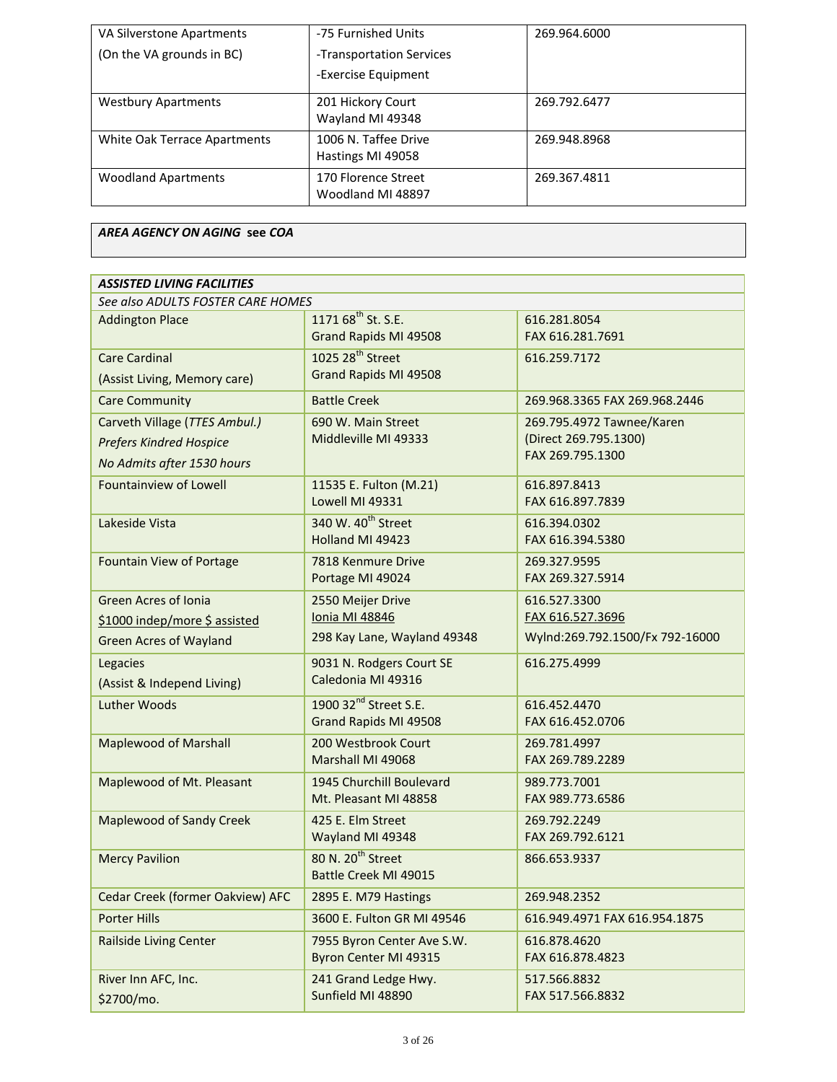| VA Silverstone Apartments    | -75 Furnished Units                       | 269.964.6000 |
|------------------------------|-------------------------------------------|--------------|
| (On the VA grounds in BC)    | -Transportation Services                  |              |
|                              | -Exercise Equipment                       |              |
| <b>Westbury Apartments</b>   | 201 Hickory Court<br>Wayland MI 49348     | 269.792.6477 |
| White Oak Terrace Apartments | 1006 N. Taffee Drive<br>Hastings MI 49058 | 269.948.8968 |
| <b>Woodland Apartments</b>   | 170 Florence Street<br>Woodland MI 48897  | 269.367.4811 |

## *AREA AGENCY ON AGING* **see** *COA*

| <b>ASSISTED LIVING FACILITIES</b>                                                             |                                                                           |                                                                        |
|-----------------------------------------------------------------------------------------------|---------------------------------------------------------------------------|------------------------------------------------------------------------|
| See also ADULTS FOSTER CARE HOMES                                                             |                                                                           |                                                                        |
| <b>Addington Place</b>                                                                        | 1171 68 <sup>th</sup> St. S.E.<br>Grand Rapids MI 49508                   | 616.281.8054<br>FAX 616.281.7691                                       |
| <b>Care Cardinal</b><br>(Assist Living, Memory care)                                          | 1025 28 <sup>th</sup> Street<br>Grand Rapids MI 49508                     | 616.259.7172                                                           |
| <b>Care Community</b>                                                                         | <b>Battle Creek</b>                                                       | 269.968.3365 FAX 269.968.2446                                          |
| Carveth Village (TTES Ambul.)<br><b>Prefers Kindred Hospice</b><br>No Admits after 1530 hours | 690 W. Main Street<br>Middleville MI 49333                                | 269.795.4972 Tawnee/Karen<br>(Direct 269.795.1300)<br>FAX 269.795.1300 |
| <b>Fountainview of Lowell</b>                                                                 | 11535 E. Fulton (M.21)<br>Lowell MI 49331                                 | 616.897.8413<br>FAX 616.897.7839                                       |
| Lakeside Vista                                                                                | 340 W. 40 <sup>th</sup> Street<br>Holland MI 49423                        | 616.394.0302<br>FAX 616.394.5380                                       |
| <b>Fountain View of Portage</b>                                                               | 7818 Kenmure Drive<br>Portage MI 49024                                    | 269.327.9595<br>FAX 269.327.5914                                       |
| <b>Green Acres of Ionia</b><br>\$1000 indep/more \$ assisted<br><b>Green Acres of Wayland</b> | 2550 Meijer Drive<br><b>Ionia MI 48846</b><br>298 Kay Lane, Wayland 49348 | 616.527.3300<br>FAX 616.527.3696<br>Wylnd:269.792.1500/Fx 792-16000    |
| Legacies<br>(Assist & Independ Living)                                                        | 9031 N. Rodgers Court SE<br>Caledonia MI 49316                            | 616.275.4999                                                           |
| <b>Luther Woods</b>                                                                           | 1900 32 <sup>nd</sup> Street S.E.<br>Grand Rapids MI 49508                | 616.452.4470<br>FAX 616.452.0706                                       |
| <b>Maplewood of Marshall</b>                                                                  | 200 Westbrook Court<br>Marshall MI 49068                                  | 269.781.4997<br>FAX 269.789.2289                                       |
| Maplewood of Mt. Pleasant                                                                     | 1945 Churchill Boulevard<br>Mt. Pleasant MI 48858                         | 989.773.7001<br>FAX 989.773.6586                                       |
| <b>Maplewood of Sandy Creek</b>                                                               | 425 E. Elm Street<br>Wayland MI 49348                                     | 269.792.2249<br>FAX 269.792.6121                                       |
| <b>Mercy Pavilion</b>                                                                         | 80 N. 20 <sup>th</sup> Street<br>Battle Creek MI 49015                    | 866.653.9337                                                           |
| Cedar Creek (former Oakview) AFC                                                              | 2895 E. M79 Hastings                                                      | 269.948.2352                                                           |
| <b>Porter Hills</b>                                                                           | 3600 E. Fulton GR MI 49546                                                | 616.949.4971 FAX 616.954.1875                                          |
| <b>Railside Living Center</b>                                                                 | 7955 Byron Center Ave S.W.<br>Byron Center MI 49315                       | 616.878.4620<br>FAX 616.878.4823                                       |
| River Inn AFC, Inc.<br>\$2700/mo.                                                             | 241 Grand Ledge Hwy.<br>Sunfield MI 48890                                 | 517.566.8832<br>FAX 517.566.8832                                       |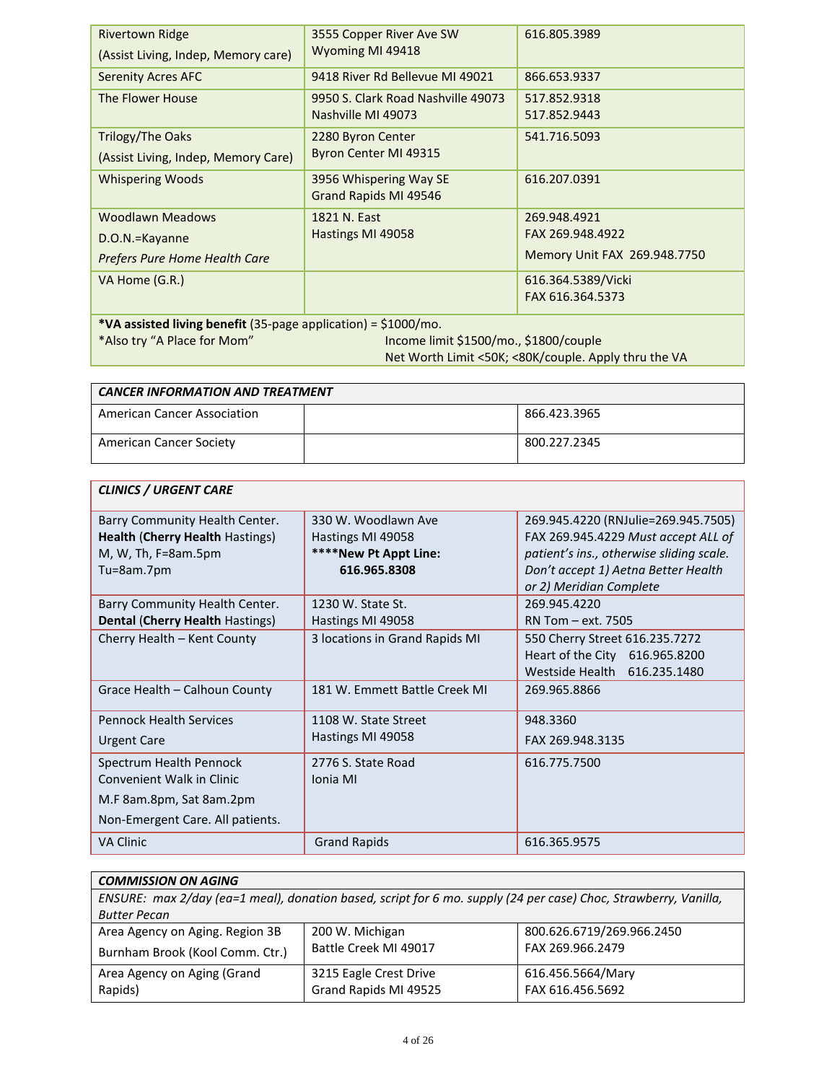| <b>Rivertown Ridge</b>                                            | 3555 Copper River Ave SW<br>Wyoming MI 49418         | 616.805.3989                 |
|-------------------------------------------------------------------|------------------------------------------------------|------------------------------|
| (Assist Living, Indep, Memory care)                               |                                                      |                              |
| <b>Serenity Acres AFC</b>                                         | 9418 River Rd Bellevue MI 49021                      | 866.653.9337                 |
| The Flower House                                                  | 9950 S. Clark Road Nashville 49073                   | 517.852.9318                 |
|                                                                   | Nashville MI 49073                                   | 517.852.9443                 |
| Trilogy/The Oaks                                                  | 2280 Byron Center                                    | 541.716.5093                 |
| (Assist Living, Indep, Memory Care)                               | Byron Center MI 49315                                |                              |
| <b>Whispering Woods</b>                                           | 3956 Whispering Way SE                               | 616.207.0391                 |
|                                                                   | Grand Rapids MI 49546                                |                              |
| Woodlawn Meadows                                                  | 1821 N. East                                         | 269.948.4921                 |
| D.O.N.=Kayanne                                                    | Hastings MI 49058                                    | FAX 269.948.4922             |
| Prefers Pure Home Health Care                                     |                                                      | Memory Unit FAX 269.948.7750 |
| VA Home (G.R.)                                                    |                                                      | 616.364.5389/Vicki           |
|                                                                   |                                                      | FAX 616.364.5373             |
| *VA assisted living benefit (35-page application) = $$1000/mol$ . |                                                      |                              |
| *Also try "A Place for Mom"                                       | Income limit \$1500/mo., \$1800/couple               |                              |
|                                                                   | Net Worth Limit <50K; <80K/couple. Apply thru the VA |                              |

| <b>CANCER INFORMATION AND TREATMENT</b> |  |              |
|-----------------------------------------|--|--------------|
| American Cancer Association             |  | 866.423.3965 |
| American Cancer Society                 |  | 800.227.2345 |

ĭ

r

| <b>CLINICS / URGENT CARE</b>                                                                                         |                                                                                   |                                                                                                                                                                                          |
|----------------------------------------------------------------------------------------------------------------------|-----------------------------------------------------------------------------------|------------------------------------------------------------------------------------------------------------------------------------------------------------------------------------------|
| Barry Community Health Center.<br><b>Health (Cherry Health Hastings)</b><br>M, W, Th, $F=8$ am.5pm<br>Tu=8am.7pm     | 330 W. Woodlawn Ave<br>Hastings MI 49058<br>****New Pt Appt Line:<br>616.965.8308 | 269.945.4220 (RNJulie=269.945.7505)<br>FAX 269.945.4229 Must accept ALL of<br>patient's ins., otherwise sliding scale.<br>Don't accept 1) Aetna Better Health<br>or 2) Meridian Complete |
| Barry Community Health Center.<br><b>Dental (Cherry Health Hastings)</b>                                             | 1230 W. State St.<br>Hastings MI 49058                                            | 269.945.4220<br>RN Tom - ext. 7505                                                                                                                                                       |
| Cherry Health - Kent County                                                                                          | 3 locations in Grand Rapids MI                                                    | 550 Cherry Street 616.235.7272<br>Heart of the City 616.965.8200<br>Westside Health 616.235.1480                                                                                         |
| Grace Health - Calhoun County                                                                                        | 181 W. Emmett Battle Creek MI                                                     | 269.965.8866                                                                                                                                                                             |
| <b>Pennock Health Services</b><br><b>Urgent Care</b>                                                                 | 1108 W. State Street<br>Hastings MI 49058                                         | 948.3360<br>FAX 269.948.3135                                                                                                                                                             |
| Spectrum Health Pennock<br>Convenient Walk in Clinic<br>M.F 8am.8pm, Sat 8am.2pm<br>Non-Emergent Care. All patients. | 2776 S. State Road<br>Ionia MI                                                    | 616.775.7500                                                                                                                                                                             |
| <b>VA Clinic</b>                                                                                                     | <b>Grand Rapids</b>                                                               | 616.365.9575                                                                                                                                                                             |

| <b>COMMISSION ON AGING</b>      |                                                                                                                 |                           |
|---------------------------------|-----------------------------------------------------------------------------------------------------------------|---------------------------|
|                                 | ENSURE: max 2/day (ea=1 meal), donation based, script for 6 mo. supply (24 per case) Choc, Strawberry, Vanilla, |                           |
| <b>Butter Pecan</b>             |                                                                                                                 |                           |
| Area Agency on Aging. Region 3B | 200 W. Michigan                                                                                                 | 800.626.6719/269.966.2450 |
| Burnham Brook (Kool Comm. Ctr.) | Battle Creek MI 49017                                                                                           | FAX 269.966.2479          |
| Area Agency on Aging (Grand     | 3215 Eagle Crest Drive                                                                                          | 616.456.5664/Mary         |
| Rapids)                         | Grand Rapids MI 49525                                                                                           | FAX 616.456.5692          |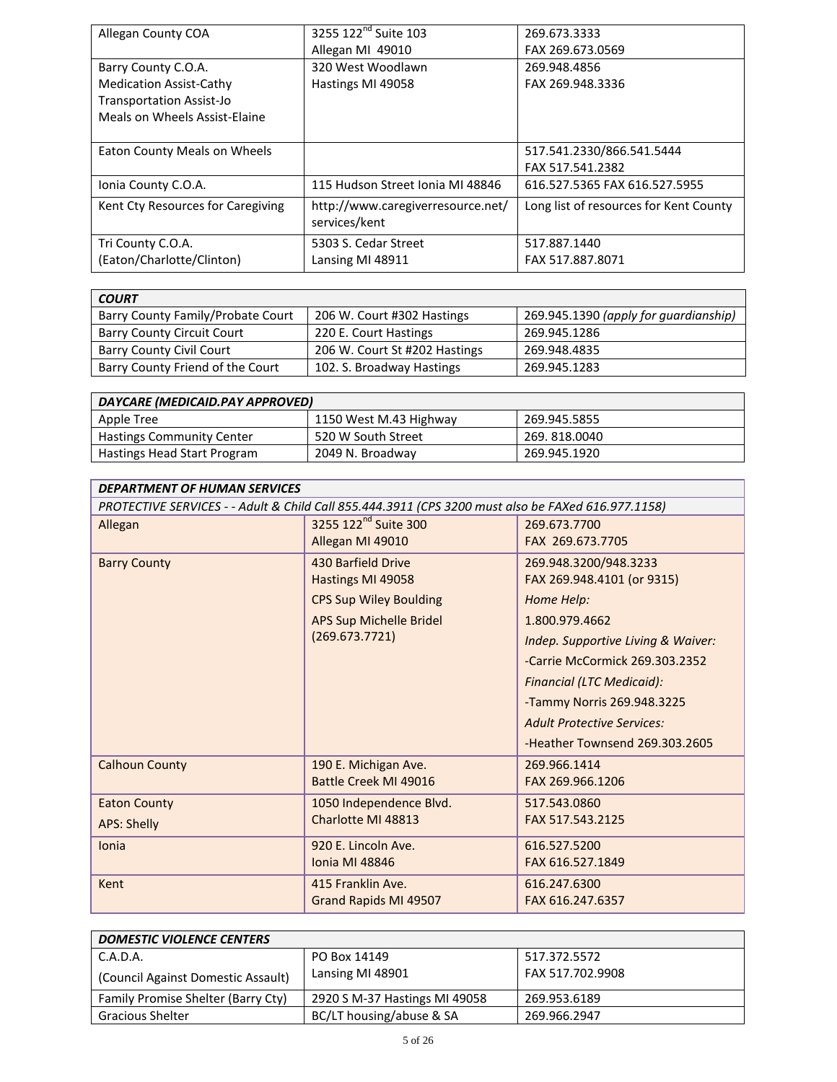| Allegan County COA                | 3255 122 <sup>nd</sup> Suite 103                   | 269.673.3333                           |
|-----------------------------------|----------------------------------------------------|----------------------------------------|
|                                   | Allegan MI 49010                                   | FAX 269.673.0569                       |
| Barry County C.O.A.               | 320 West Woodlawn                                  | 269.948.4856                           |
| <b>Medication Assist-Cathy</b>    | Hastings MI 49058                                  | FAX 269.948.3336                       |
| <b>Transportation Assist-Jo</b>   |                                                    |                                        |
| Meals on Wheels Assist-Elaine     |                                                    |                                        |
|                                   |                                                    |                                        |
| Eaton County Meals on Wheels      |                                                    | 517.541.2330/866.541.5444              |
|                                   |                                                    | FAX 517.541.2382                       |
| Ionia County C.O.A.               | 115 Hudson Street Ionia MI 48846                   | 616.527.5365 FAX 616.527.5955          |
| Kent Cty Resources for Caregiving | http://www.caregiverresource.net/<br>services/kent | Long list of resources for Kent County |
| Tri County C.O.A.                 | 5303 S. Cedar Street                               | 517.887.1440                           |
| (Eaton/Charlotte/Clinton)         | Lansing MI 48911                                   | FAX 517.887.8071                       |

| <b>COURT</b>                      |                               |                                       |
|-----------------------------------|-------------------------------|---------------------------------------|
| Barry County Family/Probate Court | 206 W. Court #302 Hastings    | 269.945.1390 (apply for guardianship) |
| <b>Barry County Circuit Court</b> | 220 E. Court Hastings         | 269.945.1286                          |
| <b>Barry County Civil Court</b>   | 206 W. Court St #202 Hastings | 269.948.4835                          |
| Barry County Friend of the Court  | 102. S. Broadway Hastings     | 269.945.1283                          |

| DAYCARE (MEDICAID.PAY APPROVED)  |                        |              |  |
|----------------------------------|------------------------|--------------|--|
| Apple Tree                       | 1150 West M.43 Highway | 269.945.5855 |  |
| <b>Hastings Community Center</b> | 520 W South Street     | 269.818.0040 |  |
| Hastings Head Start Program      | 2049 N. Broadway       | 269.945.1920 |  |

| <b>DEPARTMENT OF HUMAN SERVICES</b>                                                                |                                  |                                    |
|----------------------------------------------------------------------------------------------------|----------------------------------|------------------------------------|
| PROTECTIVE SERVICES - - Adult & Child Call 855.444.3911 (CPS 3200 must also be FAXed 616.977.1158) |                                  |                                    |
| Allegan                                                                                            | 3255 122 <sup>nd</sup> Suite 300 | 269.673.7700                       |
|                                                                                                    | Allegan MI 49010                 | FAX 269.673.7705                   |
| <b>Barry County</b>                                                                                | 430 Barfield Drive               | 269.948.3200/948.3233              |
|                                                                                                    | Hastings MI 49058                | FAX 269.948.4101 (or 9315)         |
|                                                                                                    | <b>CPS Sup Wiley Boulding</b>    | Home Help:                         |
|                                                                                                    | <b>APS Sup Michelle Bridel</b>   | 1.800.979.4662                     |
|                                                                                                    | (269.673.7721)                   | Indep. Supportive Living & Waiver: |
|                                                                                                    |                                  | -Carrie McCormick 269.303.2352     |
|                                                                                                    |                                  | <b>Financial (LTC Medicaid):</b>   |
|                                                                                                    |                                  | -Tammy Norris 269.948.3225         |
|                                                                                                    |                                  | <b>Adult Protective Services:</b>  |
|                                                                                                    |                                  | -Heather Townsend 269.303.2605     |
| <b>Calhoun County</b>                                                                              | 190 E. Michigan Ave.             | 269.966.1414                       |
|                                                                                                    | Battle Creek MI 49016            | FAX 269.966.1206                   |
| <b>Eaton County</b>                                                                                | 1050 Independence Blvd.          | 517.543.0860                       |
| <b>APS: Shelly</b>                                                                                 | Charlotte MI 48813               | FAX 517.543.2125                   |
| Ionia                                                                                              | 920 E. Lincoln Ave.              | 616.527.5200                       |
|                                                                                                    | <b>Ionia MI 48846</b>            | FAX 616.527.1849                   |
| Kent                                                                                               | 415 Franklin Ave.                | 616.247.6300                       |
|                                                                                                    | Grand Rapids MI 49507            | FAX 616.247.6357                   |

| <b>DOMESTIC VIOLENCE CENTERS</b>          |                               |                  |
|-------------------------------------------|-------------------------------|------------------|
| C.A.D.A.                                  | PO Box 14149                  | 517.372.5572     |
| (Council Against Domestic Assault)        | Lansing MI 48901              | FAX 517.702.9908 |
| <b>Family Promise Shelter (Barry Cty)</b> | 2920 S M-37 Hastings MI 49058 | 269.953.6189     |
| <b>Gracious Shelter</b>                   | BC/LT housing/abuse & SA      | 269.966.2947     |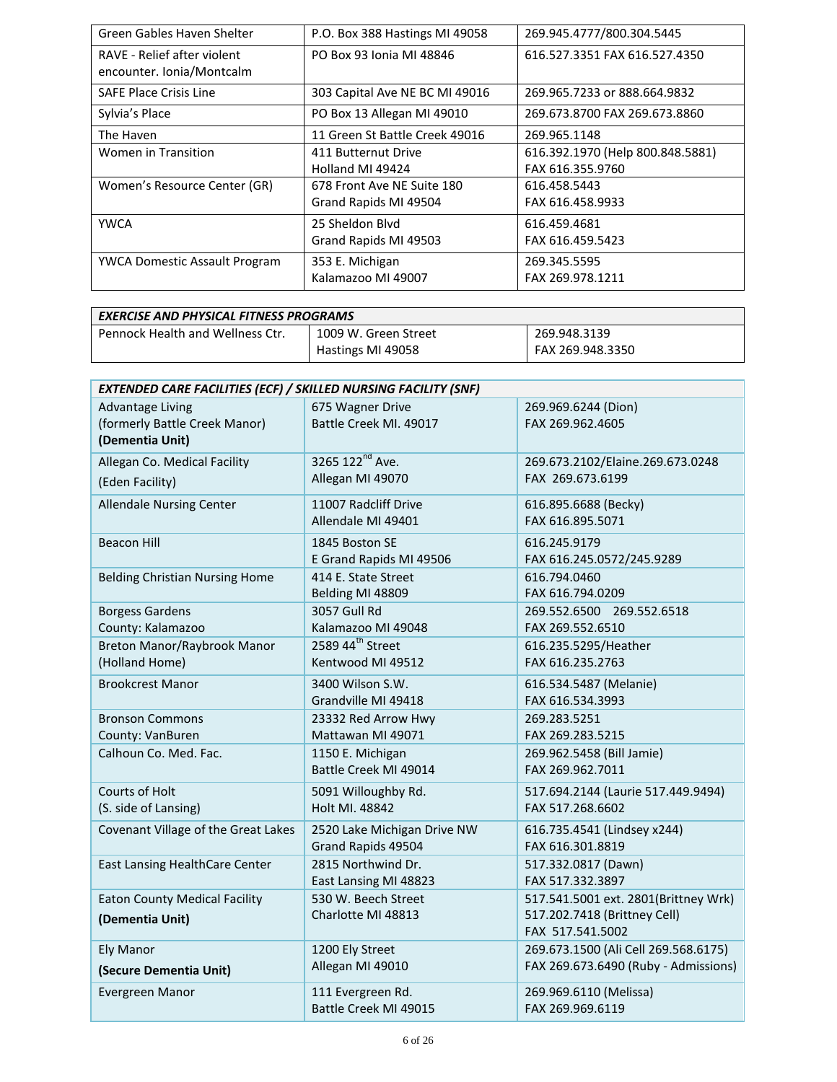| Green Gables Haven Shelter                               | P.O. Box 388 Hastings MI 49058                      | 269.945.4777/800.304.5445                            |
|----------------------------------------------------------|-----------------------------------------------------|------------------------------------------------------|
| RAVE - Relief after violent<br>encounter. Ionia/Montcalm | PO Box 93 Ionia MI 48846                            | 616.527.3351 FAX 616.527.4350                        |
| <b>SAFE Place Crisis Line</b>                            | 303 Capital Ave NE BC MI 49016                      | 269.965.7233 or 888.664.9832                         |
| Sylvia's Place                                           | PO Box 13 Allegan MI 49010                          | 269.673.8700 FAX 269.673.8860                        |
| The Haven                                                | 11 Green St Battle Creek 49016                      | 269.965.1148                                         |
| Women in Transition                                      | 411 Butternut Drive<br>Holland MI 49424             | 616.392.1970 (Help 800.848.5881)<br>FAX 616.355.9760 |
| Women's Resource Center (GR)                             | 678 Front Ave NE Suite 180<br>Grand Rapids MI 49504 | 616.458.5443<br>FAX 616.458.9933                     |
| <b>YWCA</b>                                              | 25 Sheldon Blvd<br>Grand Rapids MI 49503            | 616.459.4681<br>FAX 616.459.5423                     |
| <b>YWCA Domestic Assault Program</b>                     | 353 E. Michigan<br>Kalamazoo MI 49007               | 269.345.5595<br>FAX 269.978.1211                     |

| <b>EXERCISE AND PHYSICAL FITNESS PROGRAMS</b> |                      |                  |
|-----------------------------------------------|----------------------|------------------|
| <b>Pennock Health and Wellness Ctr.</b>       | 1009 W. Green Street | 269.948.3139     |
|                                               | Hastings MI 49058    | FAX 269.948.3350 |

| <b>EXTENDED CARE FACILITIES (ECF) / SKILLED NURSING FACILITY (SNF)</b>      |                                                   |                                                                                          |
|-----------------------------------------------------------------------------|---------------------------------------------------|------------------------------------------------------------------------------------------|
| <b>Advantage Living</b><br>(formerly Battle Creek Manor)<br>(Dementia Unit) | 675 Wagner Drive<br>Battle Creek MI. 49017        | 269.969.6244 (Dion)<br>FAX 269.962.4605                                                  |
| Allegan Co. Medical Facility<br>(Eden Facility)                             | 3265 122 <sup>nd</sup> Ave.<br>Allegan MI 49070   | 269.673.2102/Elaine.269.673.0248<br>FAX 269.673.6199                                     |
| <b>Allendale Nursing Center</b>                                             | 11007 Radcliff Drive<br>Allendale MI 49401        | 616.895.6688 (Becky)<br>FAX 616.895.5071                                                 |
| <b>Beacon Hill</b>                                                          | 1845 Boston SE<br>E Grand Rapids MI 49506         | 616.245.9179<br>FAX 616.245.0572/245.9289                                                |
| <b>Belding Christian Nursing Home</b>                                       | 414 E. State Street<br>Belding MI 48809           | 616.794.0460<br>FAX 616.794.0209                                                         |
| <b>Borgess Gardens</b><br>County: Kalamazoo                                 | 3057 Gull Rd<br>Kalamazoo MI 49048                | 269.552.6500 269.552.6518<br>FAX 269.552.6510                                            |
| Breton Manor/Raybrook Manor<br>(Holland Home)                               | 2589 44 <sup>th</sup> Street<br>Kentwood MI 49512 | 616.235.5295/Heather<br>FAX 616.235.2763                                                 |
| <b>Brookcrest Manor</b>                                                     | 3400 Wilson S.W.<br>Grandville MI 49418           | 616.534.5487 (Melanie)<br>FAX 616.534.3993                                               |
| <b>Bronson Commons</b><br>County: VanBuren                                  | 23332 Red Arrow Hwy<br>Mattawan MI 49071          | 269.283.5251<br>FAX 269.283.5215                                                         |
| Calhoun Co. Med. Fac.                                                       | 1150 E. Michigan<br>Battle Creek MI 49014         | 269.962.5458 (Bill Jamie)<br>FAX 269.962.7011                                            |
| Courts of Holt<br>(S. side of Lansing)                                      | 5091 Willoughby Rd.<br>Holt MI. 48842             | 517.694.2144 (Laurie 517.449.9494)<br>FAX 517.268.6602                                   |
| Covenant Village of the Great Lakes                                         | 2520 Lake Michigan Drive NW<br>Grand Rapids 49504 | 616.735.4541 (Lindsey x244)<br>FAX 616.301.8819                                          |
| East Lansing HealthCare Center                                              | 2815 Northwind Dr.<br>East Lansing MI 48823       | 517.332.0817 (Dawn)<br>FAX 517.332.3897                                                  |
| <b>Eaton County Medical Facility</b><br>(Dementia Unit)                     | 530 W. Beech Street<br>Charlotte MI 48813         | 517.541.5001 ext. 2801(Brittney Wrk)<br>517.202.7418 (Brittney Cell)<br>FAX 517.541.5002 |
| Ely Manor<br>(Secure Dementia Unit)                                         | 1200 Ely Street<br>Allegan MI 49010               | 269.673.1500 (Ali Cell 269.568.6175)<br>FAX 269.673.6490 (Ruby - Admissions)             |
| Evergreen Manor                                                             | 111 Evergreen Rd.<br>Battle Creek MI 49015        | 269.969.6110 (Melissa)<br>FAX 269.969.6119                                               |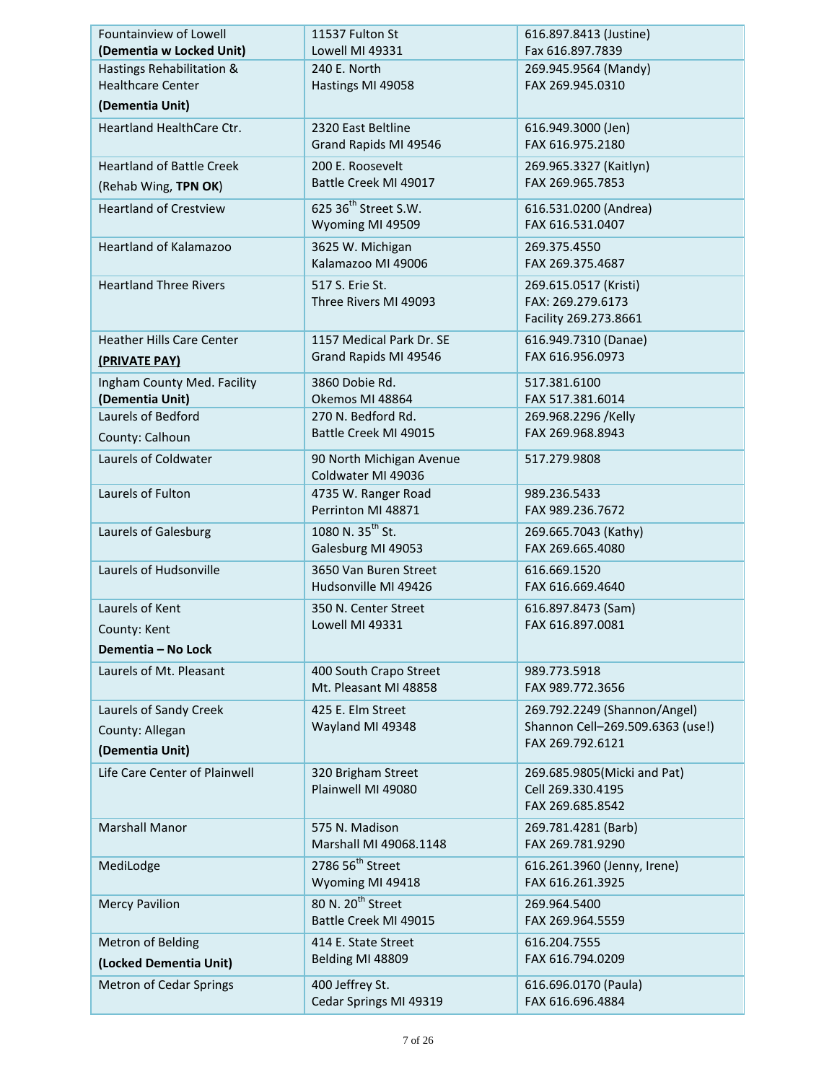| Fountainview of Lowell<br>(Dementia w Locked Unit) | 11537 Fulton St<br>Lowell MI 49331                     | 616.897.8413 (Justine)<br>Fax 616.897.7839                            |
|----------------------------------------------------|--------------------------------------------------------|-----------------------------------------------------------------------|
| Hastings Rehabilitation &                          | 240 E. North                                           | 269.945.9564 (Mandy)                                                  |
| <b>Healthcare Center</b>                           | Hastings MI 49058                                      | FAX 269.945.0310                                                      |
| (Dementia Unit)                                    |                                                        |                                                                       |
| <b>Heartland HealthCare Ctr.</b>                   | 2320 East Beltline                                     | 616.949.3000 (Jen)                                                    |
|                                                    | Grand Rapids MI 49546                                  | FAX 616.975.2180                                                      |
| <b>Heartland of Battle Creek</b>                   | 200 E. Roosevelt                                       | 269.965.3327 (Kaitlyn)                                                |
| (Rehab Wing, TPN OK)                               | Battle Creek MI 49017                                  | FAX 269.965.7853                                                      |
| <b>Heartland of Crestview</b>                      | 625 36 <sup>th</sup> Street S.W.<br>Wyoming MI 49509   | 616.531.0200 (Andrea)<br>FAX 616.531.0407                             |
| Heartland of Kalamazoo                             | 3625 W. Michigan<br>Kalamazoo MI 49006                 | 269.375.4550<br>FAX 269.375.4687                                      |
| <b>Heartland Three Rivers</b>                      | 517 S. Erie St.<br>Three Rivers MI 49093               | 269.615.0517 (Kristi)<br>FAX: 269.279.6173<br>Facility 269.273.8661   |
| <b>Heather Hills Care Center</b><br>(PRIVATE PAY)  | 1157 Medical Park Dr. SE<br>Grand Rapids MI 49546      | 616.949.7310 (Danae)<br>FAX 616.956.0973                              |
| Ingham County Med. Facility<br>(Dementia Unit)     | 3860 Dobie Rd.<br>Okemos MI 48864                      | 517.381.6100<br>FAX 517.381.6014                                      |
| Laurels of Bedford                                 | 270 N. Bedford Rd.                                     | 269.968.2296 /Kelly                                                   |
| County: Calhoun                                    | Battle Creek MI 49015                                  | FAX 269.968.8943                                                      |
| Laurels of Coldwater                               | 90 North Michigan Avenue<br>Coldwater MI 49036         | 517.279.9808                                                          |
| Laurels of Fulton                                  | 4735 W. Ranger Road<br>Perrinton MI 48871              | 989.236.5433<br>FAX 989.236.7672                                      |
| Laurels of Galesburg                               | 1080 N. 35 <sup>th</sup> St.<br>Galesburg MI 49053     | 269.665.7043 (Kathy)<br>FAX 269.665.4080                              |
| Laurels of Hudsonville                             | 3650 Van Buren Street<br>Hudsonville MI 49426          | 616.669.1520<br>FAX 616.669.4640                                      |
| Laurels of Kent                                    | 350 N. Center Street                                   | 616.897.8473 (Sam)                                                    |
| County: Kent                                       | Lowell MI 49331                                        | FAX 616.897.0081                                                      |
| Dementia - No Lock                                 |                                                        |                                                                       |
| Laurels of Mt. Pleasant                            | 400 South Crapo Street                                 | 989.773.5918                                                          |
|                                                    | Mt. Pleasant MI 48858                                  | FAX 989.772.3656                                                      |
| Laurels of Sandy Creek                             | 425 E. Elm Street                                      | 269.792.2249 (Shannon/Angel)                                          |
| County: Allegan                                    | Wayland MI 49348                                       | Shannon Cell-269.509.6363 (use!)                                      |
| (Dementia Unit)                                    |                                                        | FAX 269.792.6121                                                      |
| Life Care Center of Plainwell                      | 320 Brigham Street<br>Plainwell MI 49080               | 269.685.9805 (Micki and Pat)<br>Cell 269.330.4195<br>FAX 269.685.8542 |
| <b>Marshall Manor</b>                              | 575 N. Madison<br>Marshall MI 49068.1148               | 269.781.4281 (Barb)<br>FAX 269.781.9290                               |
| MediLodge                                          | 278656 <sup>th</sup> Street<br>Wyoming MI 49418        | 616.261.3960 (Jenny, Irene)<br>FAX 616.261.3925                       |
| <b>Mercy Pavilion</b>                              | 80 N. 20 <sup>th</sup> Street<br>Battle Creek MI 49015 | 269.964.5400<br>FAX 269.964.5559                                      |
| Metron of Belding                                  | 414 E. State Street                                    | 616.204.7555                                                          |
| (Locked Dementia Unit)                             | Belding MI 48809                                       | FAX 616.794.0209                                                      |
| Metron of Cedar Springs                            | 400 Jeffrey St.<br>Cedar Springs MI 49319              | 616.696.0170 (Paula)<br>FAX 616.696.4884                              |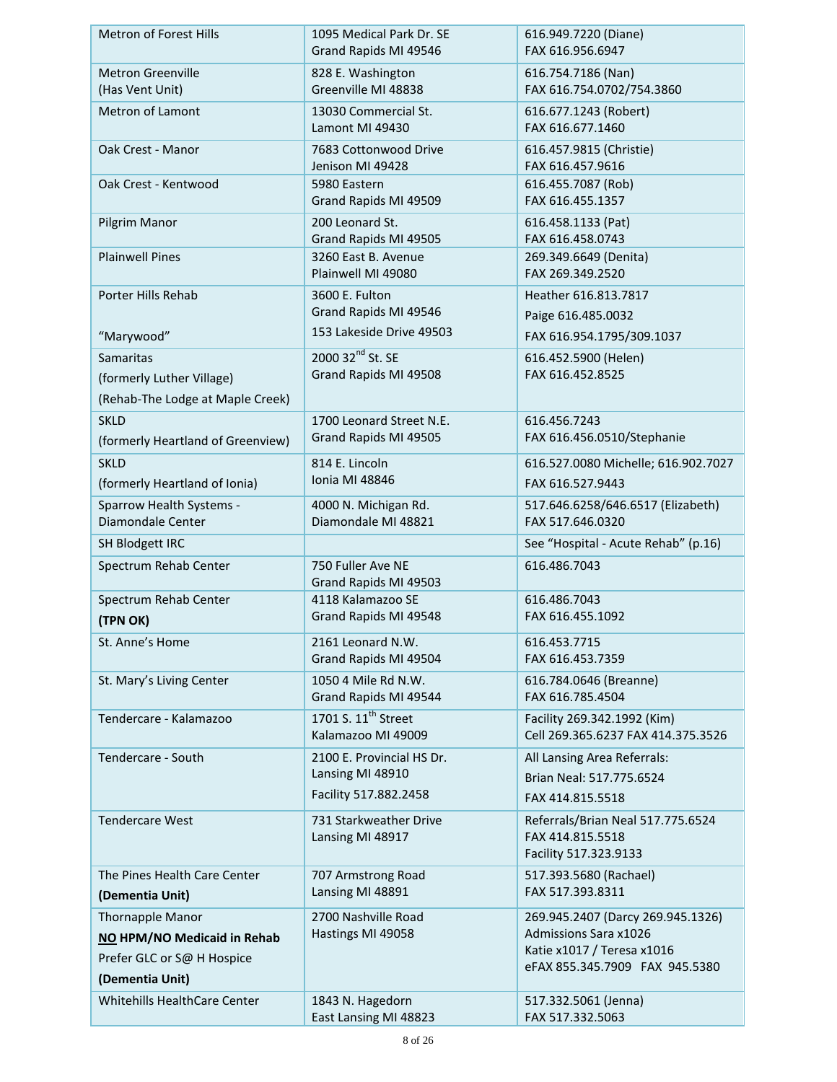| Metron of Forest Hills                               | 1095 Medical Park Dr. SE<br>Grand Rapids MI 49546     | 616.949.7220 (Diane)<br>FAX 616.956.6947                          |
|------------------------------------------------------|-------------------------------------------------------|-------------------------------------------------------------------|
| <b>Metron Greenville</b><br>(Has Vent Unit)          | 828 E. Washington<br>Greenville MI 48838              | 616.754.7186 (Nan)<br>FAX 616.754.0702/754.3860                   |
| <b>Metron of Lamont</b>                              | 13030 Commercial St.<br>Lamont MI 49430               | 616.677.1243 (Robert)<br>FAX 616.677.1460                         |
| Oak Crest - Manor                                    | 7683 Cottonwood Drive<br>Jenison MI 49428             | 616.457.9815 (Christie)<br>FAX 616.457.9616                       |
| Oak Crest - Kentwood                                 | 5980 Eastern<br>Grand Rapids MI 49509                 | 616.455.7087 (Rob)<br>FAX 616.455.1357                            |
| Pilgrim Manor                                        | 200 Leonard St.<br>Grand Rapids MI 49505              | 616.458.1133 (Pat)<br>FAX 616.458.0743                            |
| <b>Plainwell Pines</b>                               | 3260 East B. Avenue<br>Plainwell MI 49080             | 269.349.6649 (Denita)<br>FAX 269.349.2520                         |
| Porter Hills Rehab                                   | 3600 E. Fulton<br>Grand Rapids MI 49546               | Heather 616.813.7817<br>Paige 616.485.0032                        |
| "Marywood"                                           | 153 Lakeside Drive 49503                              | FAX 616.954.1795/309.1037                                         |
| <b>Samaritas</b>                                     | 2000 32 <sup>nd</sup> St. SE                          | 616.452.5900 (Helen)                                              |
| (formerly Luther Village)                            | Grand Rapids MI 49508                                 | FAX 616.452.8525                                                  |
| (Rehab-The Lodge at Maple Creek)                     |                                                       |                                                                   |
| <b>SKLD</b><br>(formerly Heartland of Greenview)     | 1700 Leonard Street N.E.<br>Grand Rapids MI 49505     | 616.456.7243<br>FAX 616.456.0510/Stephanie                        |
| <b>SKLD</b>                                          | 814 E. Lincoln                                        | 616.527.0080 Michelle; 616.902.7027                               |
| (formerly Heartland of Ionia)                        | Ionia MI 48846                                        | FAX 616.527.9443                                                  |
| <b>Sparrow Health Systems -</b><br>Diamondale Center | 4000 N. Michigan Rd.<br>Diamondale MI 48821           | 517.646.6258/646.6517 (Elizabeth)<br>FAX 517.646.0320             |
| SH Blodgett IRC                                      |                                                       | See "Hospital - Acute Rehab" (p.16)                               |
| Spectrum Rehab Center                                | 750 Fuller Ave NE<br>Grand Rapids MI 49503            | 616.486.7043                                                      |
| Spectrum Rehab Center                                | 4118 Kalamazoo SE<br>Grand Rapids MI 49548            | 616.486.7043<br>FAX 616.455.1092                                  |
| (TPN OK)                                             |                                                       |                                                                   |
| St. Anne's Home                                      | 2161 Leonard N.W.<br>Grand Rapids MI 49504            | 616.453.7715<br>FAX 616.453.7359                                  |
| St. Mary's Living Center                             | 1050 4 Mile Rd N.W.                                   | 616.784.0646 (Breanne)                                            |
|                                                      | Grand Rapids MI 49544                                 | FAX 616.785.4504                                                  |
| Tendercare - Kalamazoo                               | 1701 S. 11 <sup>th</sup> Street<br>Kalamazoo MI 49009 | Facility 269.342.1992 (Kim)<br>Cell 269.365.6237 FAX 414.375.3526 |
| Tendercare - South                                   | 2100 E. Provincial HS Dr.<br>Lansing MI 48910         | All Lansing Area Referrals:                                       |
|                                                      | Facility 517.882.2458                                 | Brian Neal: 517.775.6524                                          |
| <b>Tendercare West</b>                               | 731 Starkweather Drive                                | FAX 414.815.5518                                                  |
|                                                      | Lansing MI 48917                                      | Referrals/Brian Neal 517.775.6524<br>FAX 414.815.5518             |
|                                                      |                                                       | Facility 517.323.9133                                             |
| The Pines Health Care Center<br>(Dementia Unit)      | 707 Armstrong Road<br>Lansing MI 48891                | 517.393.5680 (Rachael)<br>FAX 517.393.8311                        |
| Thornapple Manor                                     | 2700 Nashville Road                                   | 269.945.2407 (Darcy 269.945.1326)                                 |
| NO HPM/NO Medicaid in Rehab                          | Hastings MI 49058                                     | <b>Admissions Sara x1026</b>                                      |
| Prefer GLC or S@ H Hospice                           |                                                       | Katie x1017 / Teresa x1016<br>eFAX 855.345.7909 FAX 945.5380      |
| (Dementia Unit)                                      |                                                       |                                                                   |
| Whitehills HealthCare Center                         | 1843 N. Hagedorn<br>East Lansing MI 48823             | 517.332.5061 (Jenna)<br>FAX 517.332.5063                          |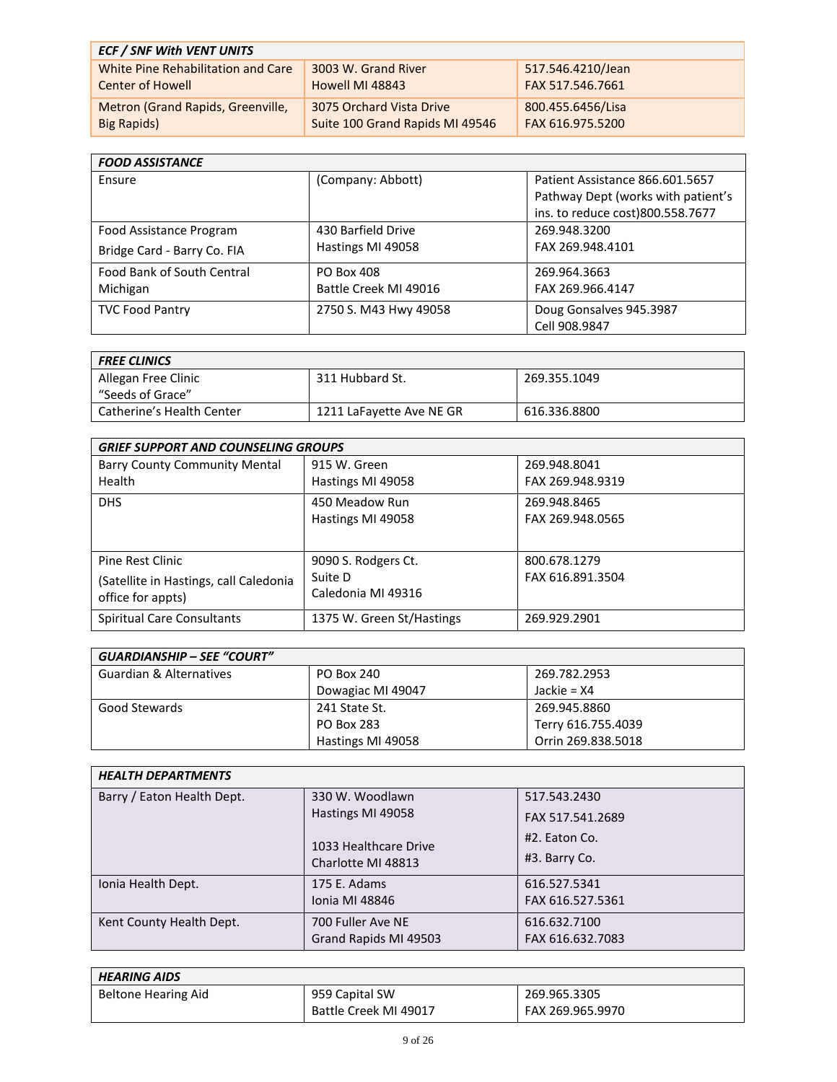| <b>ECF / SNF With VENT UNITS</b>   |                                 |                   |
|------------------------------------|---------------------------------|-------------------|
| White Pine Rehabilitation and Care | 3003 W. Grand River             | 517.546.4210/Jean |
| <b>Center of Howell</b>            | Howell MI 48843                 | FAX 517.546.7661  |
| Metron (Grand Rapids, Greenville,  | 3075 Orchard Vista Drive        | 800.455.6456/Lisa |
| Big Rapids)                        | Suite 100 Grand Rapids MI 49546 | FAX 616.975.5200  |

| <b>FOOD ASSISTANCE</b>            |                       |                                    |
|-----------------------------------|-----------------------|------------------------------------|
| Ensure                            | (Company: Abbott)     | Patient Assistance 866.601.5657    |
|                                   |                       | Pathway Dept (works with patient's |
|                                   |                       | ins. to reduce cost)800.558.7677   |
| Food Assistance Program           | 430 Barfield Drive    | 269.948.3200                       |
| Bridge Card - Barry Co. FIA       | Hastings MI 49058     | FAX 269.948.4101                   |
| <b>Food Bank of South Central</b> | PO Box 408            | 269.964.3663                       |
| Michigan                          | Battle Creek MI 49016 | FAX 269.966.4147                   |
| <b>TVC Food Pantry</b>            | 2750 S. M43 Hwy 49058 | Doug Gonsalves 945.3987            |
|                                   |                       | Cell 908.9847                      |

| <b>FREE CLINICS</b>       |                          |              |
|---------------------------|--------------------------|--------------|
| Allegan Free Clinic       | 311 Hubbard St.          | 269.355.1049 |
| "Seeds of Grace"          |                          |              |
| Catherine's Health Center | 1211 LaFayette Ave NE GR | 616.336.8800 |

| <b>GRIEF SUPPORT AND COUNSELING GROUPS</b> |                           |                  |
|--------------------------------------------|---------------------------|------------------|
| <b>Barry County Community Mental</b>       | 915 W. Green              | 269.948.8041     |
| Health                                     | Hastings MI 49058         | FAX 269.948.9319 |
| <b>DHS</b>                                 | 450 Meadow Run            | 269.948.8465     |
|                                            | Hastings MI 49058         | FAX 269.948.0565 |
|                                            |                           |                  |
| Pine Rest Clinic                           | 9090 S. Rodgers Ct.       | 800.678.1279     |
| (Satellite in Hastings, call Caledonia     | Suite D                   | FAX 616.891.3504 |
| office for appts)                          | Caledonia MI 49316        |                  |
| <b>Spiritual Care Consultants</b>          | 1375 W. Green St/Hastings | 269.929.2901     |

| <b>GUARDIANSHIP - SEE "COURT"</b>  |                   |                    |
|------------------------------------|-------------------|--------------------|
| <b>Guardian &amp; Alternatives</b> | PO Box 240        | 269.782.2953       |
|                                    | Dowagiac MI 49047 | Jackie = $X4$      |
| Good Stewards                      | 241 State St.     | 269.945.8860       |
|                                    | PO Box 283        | Terry 616.755.4039 |
|                                    | Hastings MI 49058 | Orrin 269.838.5018 |

| <b>HEALTH DEPARTMENTS</b>  |                       |                  |
|----------------------------|-----------------------|------------------|
| Barry / Eaton Health Dept. | 330 W. Woodlawn       | 517.543.2430     |
|                            | Hastings MI 49058     | FAX 517.541.2689 |
|                            | 1033 Healthcare Drive | #2. Eaton Co.    |
|                            | Charlotte MI 48813    | #3. Barry Co.    |
| Ionia Health Dept.         | 175 E. Adams          | 616.527.5341     |
|                            | <b>Ionia MI 48846</b> | FAX 616.527.5361 |
| Kent County Health Dept.   | 700 Fuller Ave NE     | 616.632.7100     |
|                            | Grand Rapids MI 49503 | FAX 616.632.7083 |

| <b>HEARING AIDS</b> |                       |                  |
|---------------------|-----------------------|------------------|
| Beltone Hearing Aid | 959 Capital SW        | 269.965.3305     |
|                     | Battle Creek MI 49017 | FAX 269.965.9970 |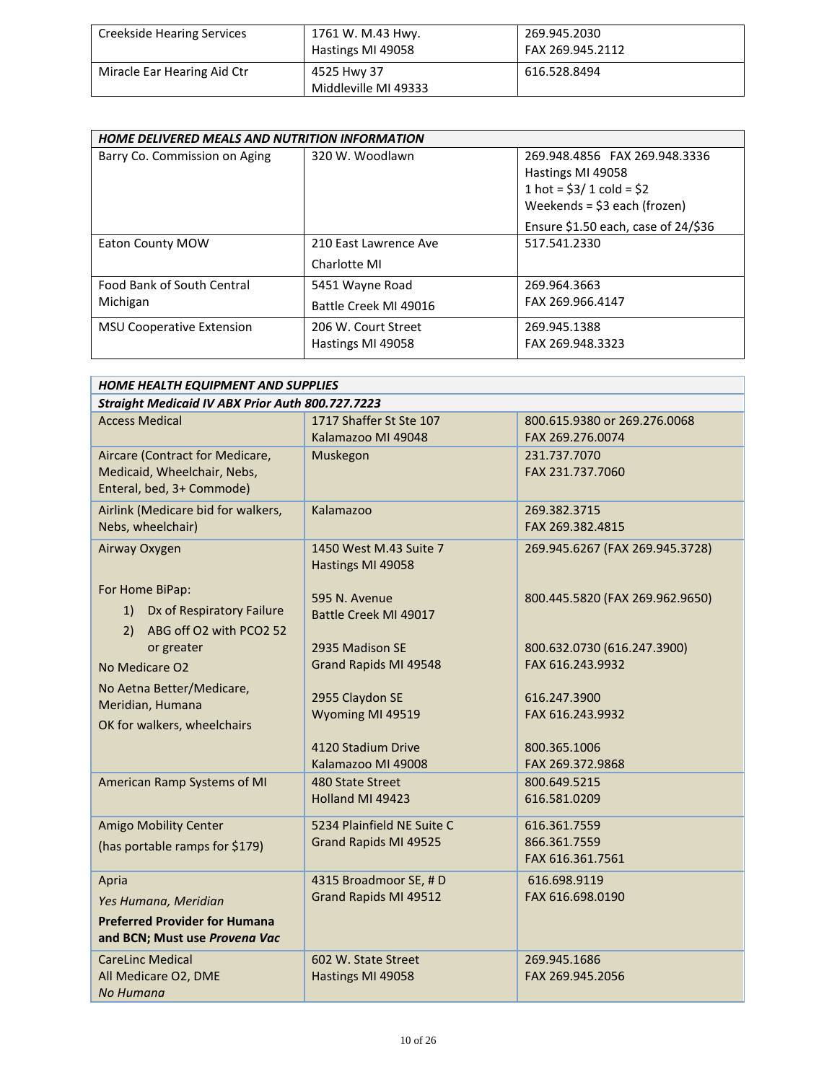| <b>Creekside Hearing Services</b> | 1761 W. M.43 Hwy.<br>Hastings MI 49058 | 269.945.2030<br>FAX 269.945.2112 |
|-----------------------------------|----------------------------------------|----------------------------------|
| Miracle Ear Hearing Aid Ctr       | 4525 Hwy 37<br>Middleville MI 49333    | 616.528.8494                     |

| HOME DELIVERED MEALS AND NUTRITION INFORMATION |                       |                                        |
|------------------------------------------------|-----------------------|----------------------------------------|
| Barry Co. Commission on Aging                  | 320 W. Woodlawn       | 269.948.4856 FAX 269.948.3336          |
|                                                |                       | Hastings MI 49058                      |
|                                                |                       | 1 hot = $$3/1$ cold = $$2$             |
|                                                |                       | Weekends = $$3$ each (frozen)          |
|                                                |                       | Ensure $$1.50$ each, case of $24/\$36$ |
| <b>Eaton County MOW</b>                        | 210 East Lawrence Ave | 517.541.2330                           |
|                                                | Charlotte MI          |                                        |
| <b>Food Bank of South Central</b>              | 5451 Wayne Road       | 269.964.3663                           |
| Michigan                                       | Battle Creek MI 49016 | FAX 269.966.4147                       |
| <b>MSU Cooperative Extension</b>               | 206 W. Court Street   | 269.945.1388                           |
|                                                | Hastings MI 49058     | FAX 269.948.3323                       |

| HOME HEALTH EQUIPMENT AND SUPPLIES               |                            |                                 |  |  |
|--------------------------------------------------|----------------------------|---------------------------------|--|--|
| Straight Medicaid IV ABX Prior Auth 800.727.7223 |                            |                                 |  |  |
| <b>Access Medical</b>                            | 1717 Shaffer St Ste 107    | 800.615.9380 or 269.276.0068    |  |  |
|                                                  | Kalamazoo MI 49048         | FAX 269.276.0074                |  |  |
| Aircare (Contract for Medicare,                  | Muskegon                   | 231.737.7070                    |  |  |
| Medicaid, Wheelchair, Nebs,                      |                            | FAX 231.737.7060                |  |  |
| Enteral, bed, 3+ Commode)                        |                            |                                 |  |  |
| Airlink (Medicare bid for walkers,               | Kalamazoo                  | 269.382.3715                    |  |  |
| Nebs, wheelchair)                                |                            | FAX 269.382.4815                |  |  |
| Airway Oxygen                                    | 1450 West M.43 Suite 7     | 269.945.6267 (FAX 269.945.3728) |  |  |
|                                                  | Hastings MI 49058          |                                 |  |  |
| For Home BiPap:                                  |                            |                                 |  |  |
| Dx of Respiratory Failure<br>1)                  | 595 N. Avenue              | 800.445.5820 (FAX 269.962.9650) |  |  |
| ABG off O2 with PCO2 52<br>2)                    | Battle Creek MI 49017      |                                 |  |  |
| or greater                                       | 2935 Madison SE            | 800.632.0730 (616.247.3900)     |  |  |
| No Medicare O <sub>2</sub>                       | Grand Rapids MI 49548      | FAX 616.243.9932                |  |  |
|                                                  |                            |                                 |  |  |
| No Aetna Better/Medicare,                        | 2955 Claydon SE            | 616.247.3900                    |  |  |
| Meridian, Humana                                 | Wyoming MI 49519           | FAX 616.243.9932                |  |  |
| OK for walkers, wheelchairs                      |                            |                                 |  |  |
|                                                  | 4120 Stadium Drive         | 800.365.1006                    |  |  |
|                                                  | Kalamazoo MI 49008         | FAX 269.372.9868                |  |  |
| American Ramp Systems of MI                      | 480 State Street           | 800.649.5215                    |  |  |
|                                                  | Holland MI 49423           | 616.581.0209                    |  |  |
| Amigo Mobility Center                            | 5234 Plainfield NE Suite C | 616.361.7559                    |  |  |
| (has portable ramps for \$179)                   | Grand Rapids MI 49525      | 866.361.7559                    |  |  |
|                                                  |                            | FAX 616.361.7561                |  |  |
| Apria                                            | 4315 Broadmoor SE, #D      | 616.698.9119                    |  |  |
| Yes Humana, Meridian                             | Grand Rapids MI 49512      | FAX 616.698.0190                |  |  |
| <b>Preferred Provider for Humana</b>             |                            |                                 |  |  |
| and BCN; Must use Provena Vac                    |                            |                                 |  |  |
| <b>CareLinc Medical</b>                          | 602 W. State Street        | 269.945.1686                    |  |  |
| All Medicare O2, DME                             | Hastings MI 49058          | FAX 269.945.2056                |  |  |
| No Humana                                        |                            |                                 |  |  |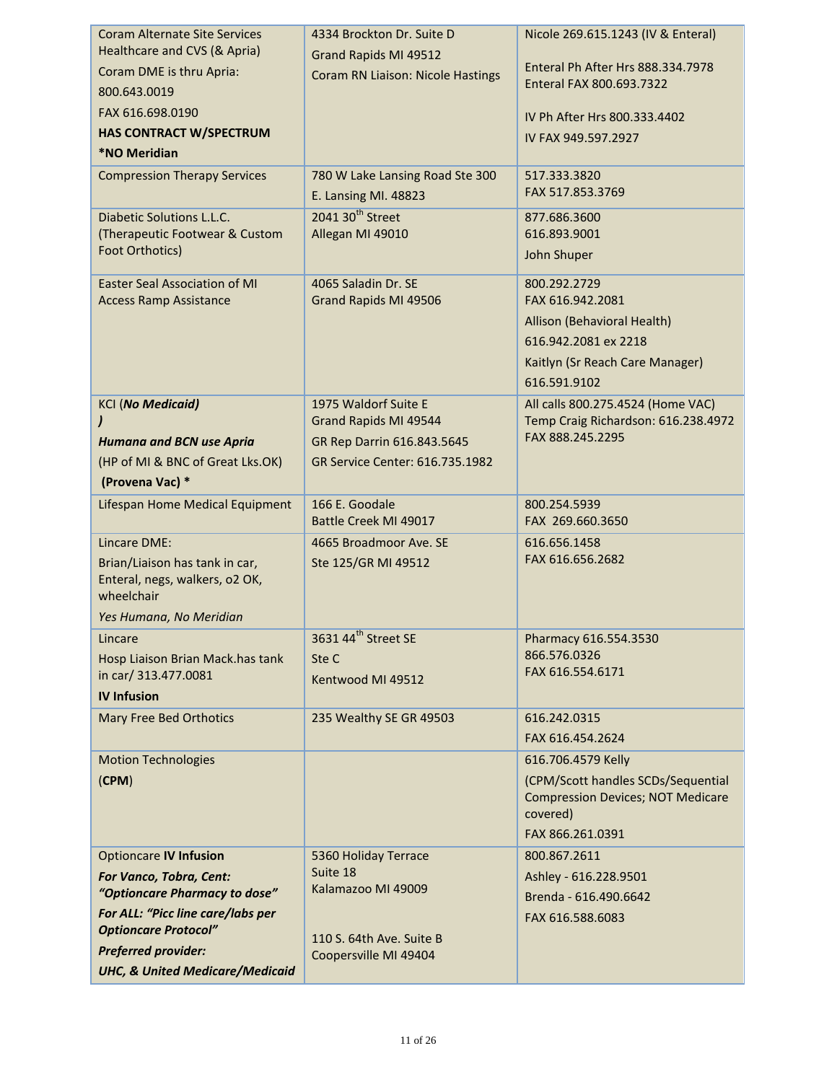| <b>Coram Alternate Site Services</b>         | 4334 Brockton Dr. Suite D         | Nicole 269.615.1243 (IV & Enteral)       |
|----------------------------------------------|-----------------------------------|------------------------------------------|
| Healthcare and CVS (& Apria)                 | Grand Rapids MI 49512             |                                          |
| Coram DME is thru Apria:                     | Coram RN Liaison: Nicole Hastings | Enteral Ph After Hrs 888.334.7978        |
| 800.643.0019                                 |                                   | Enteral FAX 800.693.7322                 |
| FAX 616.698.0190                             |                                   | IV Ph After Hrs 800.333.4402             |
| <b>HAS CONTRACT W/SPECTRUM</b>               |                                   | IV FAX 949.597.2927                      |
| <b>*NO Meridian</b>                          |                                   |                                          |
| <b>Compression Therapy Services</b>          | 780 W Lake Lansing Road Ste 300   | 517.333.3820                             |
|                                              | E. Lansing MI. 48823              | FAX 517.853.3769                         |
| Diabetic Solutions L.L.C.                    | 2041 30 <sup>th</sup> Street      | 877.686.3600                             |
| (Therapeutic Footwear & Custom               | Allegan MI 49010                  | 616.893.9001                             |
| Foot Orthotics)                              |                                   | John Shuper                              |
| <b>Easter Seal Association of MI</b>         | 4065 Saladin Dr. SE               | 800.292.2729                             |
| <b>Access Ramp Assistance</b>                | Grand Rapids MI 49506             | FAX 616.942.2081                         |
|                                              |                                   | Allison (Behavioral Health)              |
|                                              |                                   | 616.942.2081 ex 2218                     |
|                                              |                                   | Kaitlyn (Sr Reach Care Manager)          |
|                                              |                                   | 616.591.9102                             |
| <b>KCI (No Medicaid)</b>                     | 1975 Waldorf Suite E              | All calls 800.275.4524 (Home VAC)        |
|                                              | Grand Rapids MI 49544             | Temp Craig Richardson: 616.238.4972      |
| <b>Humana and BCN use Apria</b>              | GR Rep Darrin 616.843.5645        | FAX 888.245.2295                         |
| (HP of MI & BNC of Great Lks.OK)             | GR Service Center: 616.735.1982   |                                          |
| (Provena Vac) *                              |                                   |                                          |
| Lifespan Home Medical Equipment              | 166 E. Goodale                    | 800.254.5939                             |
|                                              | Battle Creek MI 49017             | FAX 269.660.3650                         |
| Lincare DME:                                 | 4665 Broadmoor Ave. SE            | 616.656.1458                             |
| Brian/Liaison has tank in car,               | Ste 125/GR MI 49512               | FAX 616.656.2682                         |
| Enteral, negs, walkers, o2 OK,<br>wheelchair |                                   |                                          |
| Yes Humana, No Meridian                      |                                   |                                          |
| Lincare                                      | 3631 44 <sup>th</sup> Street SE   | Pharmacy 616.554.3530                    |
| Hosp Liaison Brian Mack.has tank             | Ste C                             | 866.576.0326                             |
| in car/ 313.477.0081                         | Kentwood MI 49512                 | FAX 616.554.6171                         |
| <b>IV Infusion</b>                           |                                   |                                          |
| <b>Mary Free Bed Orthotics</b>               | 235 Wealthy SE GR 49503           | 616.242.0315                             |
|                                              |                                   | FAX 616.454.2624                         |
| <b>Motion Technologies</b>                   |                                   | 616.706.4579 Kelly                       |
| (CPM)                                        |                                   | (CPM/Scott handles SCDs/Sequential       |
|                                              |                                   | <b>Compression Devices; NOT Medicare</b> |
|                                              |                                   | covered)                                 |
|                                              |                                   | FAX 866.261.0391                         |
| <b>Optioncare IV Infusion</b>                | 5360 Holiday Terrace              | 800.867.2611                             |
| For Vanco, Tobra, Cent:                      | Suite 18                          | Ashley - 616.228.9501                    |
| "Optioncare Pharmacy to dose"                | Kalamazoo MI 49009                | Brenda - 616.490.6642                    |
| For ALL: "Picc line care/labs per            |                                   | FAX 616.588.6083                         |
| <b>Optioncare Protocol"</b>                  | 110 S. 64th Ave. Suite B          |                                          |
| <b>Preferred provider:</b>                   | Coopersville MI 49404             |                                          |
| <b>UHC, &amp; United Medicare/Medicaid</b>   |                                   |                                          |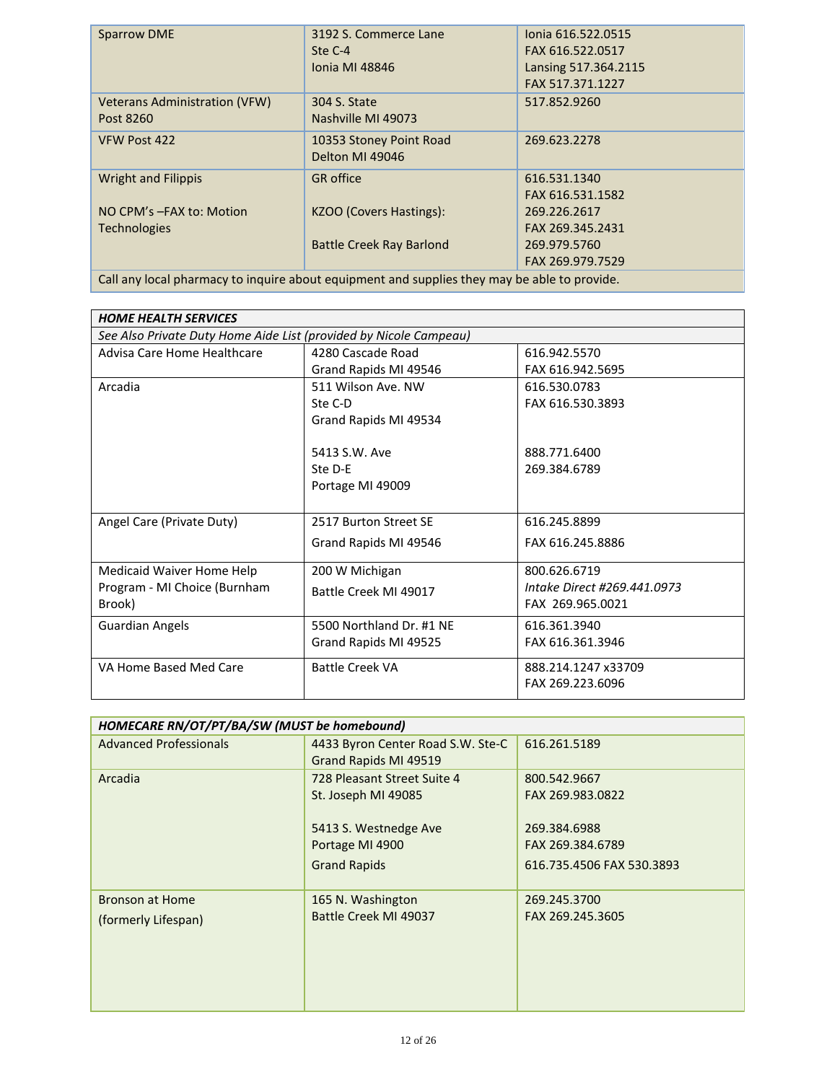|                                                                                              | <b>Sparrow DME</b>                   | 3192 S. Commerce Lane           | lonia 616.522.0515   |
|----------------------------------------------------------------------------------------------|--------------------------------------|---------------------------------|----------------------|
|                                                                                              |                                      | Ste C-4                         | FAX 616.522.0517     |
|                                                                                              |                                      | Jonia MI 48846                  | Lansing 517.364.2115 |
|                                                                                              |                                      |                                 | FAX 517.371.1227     |
|                                                                                              | <b>Veterans Administration (VFW)</b> | 304 S. State                    | 517.852.9260         |
|                                                                                              | Post 8260                            | Nashville MI 49073              |                      |
|                                                                                              | VFW Post 422                         | 10353 Stoney Point Road         | 269.623.2278         |
|                                                                                              |                                      | Delton MI 49046                 |                      |
|                                                                                              | <b>Wright and Filippis</b>           | <b>GR</b> office                | 616.531.1340         |
|                                                                                              |                                      |                                 | FAX 616.531.1582     |
|                                                                                              | NO CPM's -FAX to: Motion             | KZOO (Covers Hastings):         | 269.226.2617         |
|                                                                                              | <b>Technologies</b>                  |                                 | FAX 269.345.2431     |
|                                                                                              |                                      | <b>Battle Creek Ray Barlond</b> | 269.979.5760         |
|                                                                                              |                                      |                                 | FAX 269.979.7529     |
| Call any local pharmacy to inquire about equipment and supplies they may be able to provide. |                                      |                                 |                      |
|                                                                                              |                                      |                                 |                      |

| See Also Private Duty Home Aide List (provided by Nicole Campeau)<br>Advisa Care Home Healthcare<br>4280 Cascade Road<br>616.942.5570<br>FAX 616.942.5695<br>Grand Rapids MI 49546<br>Arcadia<br>511 Wilson Ave. NW<br>616.530.0783<br>FAX 616.530.3893<br>Ste C-D<br>Grand Rapids MI 49534 | <b>HOME HEALTH SERVICES</b> |  |  |  |
|---------------------------------------------------------------------------------------------------------------------------------------------------------------------------------------------------------------------------------------------------------------------------------------------|-----------------------------|--|--|--|
|                                                                                                                                                                                                                                                                                             |                             |  |  |  |
|                                                                                                                                                                                                                                                                                             |                             |  |  |  |
|                                                                                                                                                                                                                                                                                             |                             |  |  |  |
|                                                                                                                                                                                                                                                                                             |                             |  |  |  |
|                                                                                                                                                                                                                                                                                             |                             |  |  |  |
|                                                                                                                                                                                                                                                                                             |                             |  |  |  |
|                                                                                                                                                                                                                                                                                             |                             |  |  |  |
| 5413 S.W. Ave<br>888.771.6400                                                                                                                                                                                                                                                               |                             |  |  |  |
| Ste D-E<br>269.384.6789                                                                                                                                                                                                                                                                     |                             |  |  |  |
| Portage MI 49009                                                                                                                                                                                                                                                                            |                             |  |  |  |
|                                                                                                                                                                                                                                                                                             |                             |  |  |  |
| Angel Care (Private Duty)<br>2517 Burton Street SE<br>616.245.8899                                                                                                                                                                                                                          |                             |  |  |  |
| Grand Rapids MI 49546<br>FAX 616.245.8886                                                                                                                                                                                                                                                   |                             |  |  |  |
| Medicaid Waiver Home Help<br>200 W Michigan<br>800.626.6719                                                                                                                                                                                                                                 |                             |  |  |  |
| Program - MI Choice (Burnham<br>Intake Direct #269.441.0973                                                                                                                                                                                                                                 |                             |  |  |  |
| Battle Creek MI 49017<br>Brook)<br>FAX 269.965.0021                                                                                                                                                                                                                                         |                             |  |  |  |
| 5500 Northland Dr. #1 NF                                                                                                                                                                                                                                                                    |                             |  |  |  |
| <b>Guardian Angels</b><br>616.361.3940                                                                                                                                                                                                                                                      |                             |  |  |  |
| Grand Rapids MI 49525<br>FAX 616.361.3946                                                                                                                                                                                                                                                   |                             |  |  |  |
| VA Home Based Med Care<br><b>Battle Creek VA</b><br>888.214.1247 x33709                                                                                                                                                                                                                     |                             |  |  |  |
| FAX 269.223.6096                                                                                                                                                                                                                                                                            |                             |  |  |  |

| HOMECARE RN/OT/PT/BA/SW (MUST be homebound) |                                                                                                                       |                                                                                                   |
|---------------------------------------------|-----------------------------------------------------------------------------------------------------------------------|---------------------------------------------------------------------------------------------------|
| <b>Advanced Professionals</b>               | 4433 Byron Center Road S.W. Ste-C<br>Grand Rapids MI 49519                                                            | 616.261.5189                                                                                      |
| Arcadia                                     | 728 Pleasant Street Suite 4<br>St. Joseph MI 49085<br>5413 S. Westnedge Ave<br>Portage MI 4900<br><b>Grand Rapids</b> | 800.542.9667<br>FAX 269.983.0822<br>269.384.6988<br>FAX 269.384.6789<br>616.735.4506 FAX 530.3893 |
| Bronson at Home<br>(formerly Lifespan)      | 165 N. Washington<br>Battle Creek MI 49037                                                                            | 269.245.3700<br>FAX 269.245.3605                                                                  |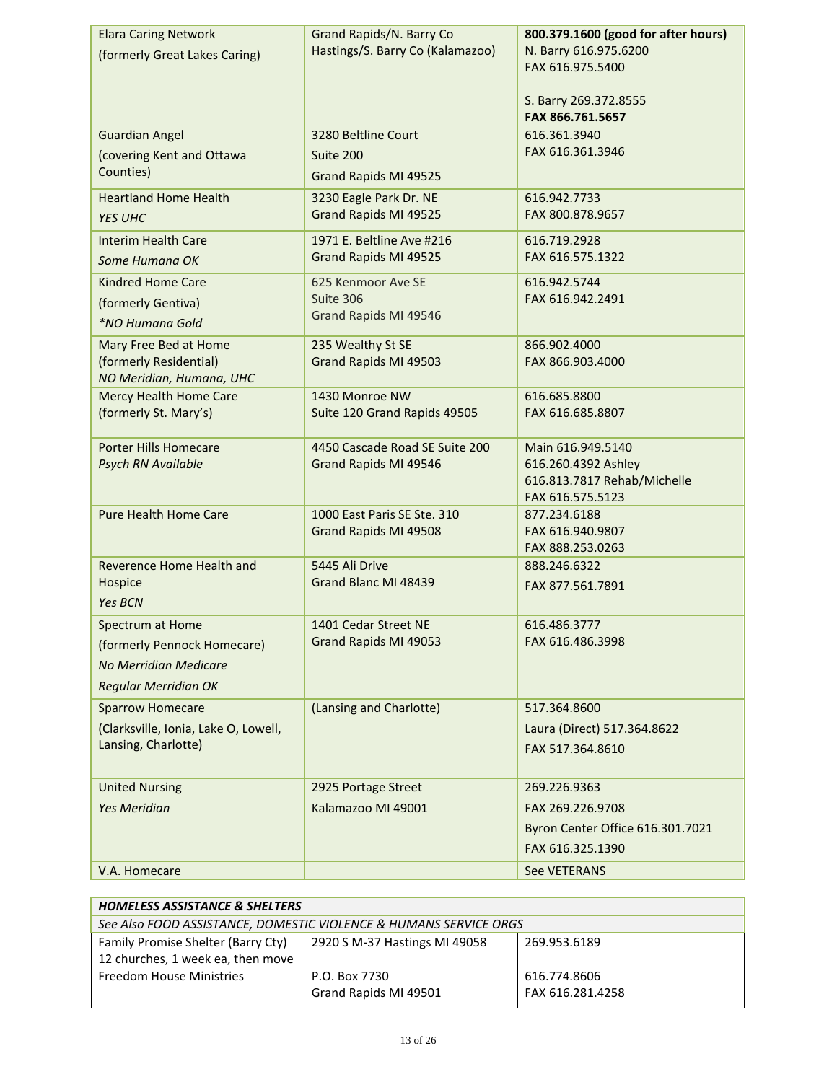| <b>Elara Caring Network</b><br>(formerly Great Lakes Caring) | Grand Rapids/N. Barry Co<br>Hastings/S. Barry Co (Kalamazoo) | 800.379.1600 (good for after hours)<br>N. Barry 616.975.6200<br>FAX 616.975.5400<br>S. Barry 269.372.8555<br>FAX 866.761.5657 |
|--------------------------------------------------------------|--------------------------------------------------------------|-------------------------------------------------------------------------------------------------------------------------------|
| <b>Guardian Angel</b>                                        | 3280 Beltline Court                                          | 616.361.3940<br>FAX 616.361.3946                                                                                              |
| (covering Kent and Ottawa<br>Counties)                       | Suite 200<br>Grand Rapids MI 49525                           |                                                                                                                               |
| <b>Heartland Home Health</b>                                 | 3230 Eagle Park Dr. NE                                       | 616.942.7733                                                                                                                  |
| <b>YES UHC</b>                                               | Grand Rapids MI 49525                                        | FAX 800.878.9657                                                                                                              |
| <b>Interim Health Care</b>                                   | 1971 E. Beltline Ave #216                                    | 616.719.2928                                                                                                                  |
| Some Humana OK                                               | Grand Rapids MI 49525                                        | FAX 616.575.1322                                                                                                              |
| <b>Kindred Home Care</b>                                     | 625 Kenmoor Ave SE                                           | 616.942.5744                                                                                                                  |
| (formerly Gentiva)                                           | Suite 306<br>Grand Rapids MI 49546                           | FAX 616.942.2491                                                                                                              |
| *NO Humana Gold                                              |                                                              |                                                                                                                               |
| Mary Free Bed at Home<br>(formerly Residential)              | 235 Wealthy St SE<br>Grand Rapids MI 49503                   | 866.902.4000<br>FAX 866.903.4000                                                                                              |
| NO Meridian, Humana, UHC                                     |                                                              |                                                                                                                               |
| <b>Mercy Health Home Care</b>                                | 1430 Monroe NW                                               | 616.685.8800                                                                                                                  |
| (formerly St. Mary's)                                        | Suite 120 Grand Rapids 49505                                 | FAX 616.685.8807                                                                                                              |
| <b>Porter Hills Homecare</b>                                 | 4450 Cascade Road SE Suite 200                               | Main 616.949.5140                                                                                                             |
| Psych RN Available                                           | Grand Rapids MI 49546                                        | 616.260.4392 Ashley                                                                                                           |
|                                                              |                                                              | 616.813.7817 Rehab/Michelle<br>FAX 616.575.5123                                                                               |
| <b>Pure Health Home Care</b>                                 | 1000 East Paris SE Ste. 310                                  | 877.234.6188                                                                                                                  |
|                                                              | Grand Rapids MI 49508                                        | FAX 616.940.9807                                                                                                              |
|                                                              |                                                              | FAX 888.253.0263                                                                                                              |
| Reverence Home Health and                                    | 5445 Ali Drive                                               | 888.246.6322                                                                                                                  |
| Hospice<br><b>Yes BCN</b>                                    | Grand Blanc MI 48439                                         | FAX 877.561.7891                                                                                                              |
| Spectrum at Home                                             | 1401 Cedar Street NE                                         | 616.486.3777                                                                                                                  |
| (formerly Pennock Homecare)                                  | Grand Rapids MI 49053                                        | FAX 616.486.3998                                                                                                              |
| No Merridian Medicare                                        |                                                              |                                                                                                                               |
| <b>Regular Merridian OK</b>                                  |                                                              |                                                                                                                               |
| <b>Sparrow Homecare</b>                                      | (Lansing and Charlotte)                                      | 517.364.8600                                                                                                                  |
| (Clarksville, Ionia, Lake O, Lowell,                         |                                                              | Laura (Direct) 517.364.8622                                                                                                   |
| Lansing, Charlotte)                                          |                                                              | FAX 517.364.8610                                                                                                              |
| <b>United Nursing</b>                                        | 2925 Portage Street                                          | 269.226.9363                                                                                                                  |
| <b>Yes Meridian</b>                                          | Kalamazoo MI 49001                                           | FAX 269.226.9708                                                                                                              |
|                                                              |                                                              | Byron Center Office 616.301.7021                                                                                              |
|                                                              |                                                              | FAX 616.325.1390                                                                                                              |
| V.A. Homecare                                                |                                                              | See VETERANS                                                                                                                  |

| <b>HOMELESS ASSISTANCE &amp; SHELTERS</b>                         |                               |                  |
|-------------------------------------------------------------------|-------------------------------|------------------|
| See Also FOOD ASSISTANCE, DOMESTIC VIOLENCE & HUMANS SERVICE ORGS |                               |                  |
| Family Promise Shelter (Barry Cty)                                | 2920 S M-37 Hastings MI 49058 | 269.953.6189     |
| 12 churches, 1 week ea, then move                                 |                               |                  |
| Freedom House Ministries                                          | P.O. Box 7730                 | 616.774.8606     |
|                                                                   | Grand Rapids MI 49501         | FAX 616.281.4258 |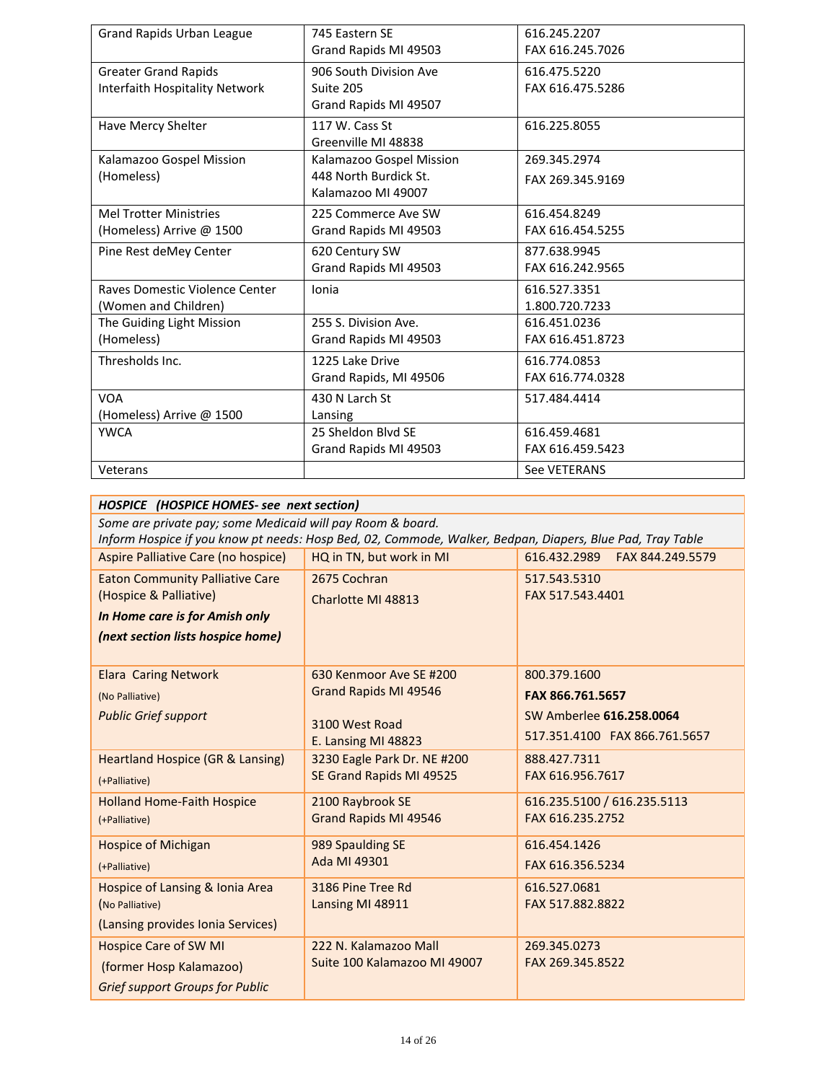| <b>Grand Rapids Urban League</b> | 745 Eastern SE           | 616.245.2207     |
|----------------------------------|--------------------------|------------------|
|                                  | Grand Rapids MI 49503    | FAX 616.245.7026 |
| <b>Greater Grand Rapids</b>      | 906 South Division Ave   | 616.475.5220     |
| Interfaith Hospitality Network   | Suite 205                | FAX 616.475.5286 |
|                                  | Grand Rapids MI 49507    |                  |
| Have Mercy Shelter               | 117 W. Cass St           | 616.225.8055     |
|                                  | Greenville MI 48838      |                  |
| Kalamazoo Gospel Mission         | Kalamazoo Gospel Mission | 269.345.2974     |
| (Homeless)                       | 448 North Burdick St.    | FAX 269.345.9169 |
|                                  | Kalamazoo MI 49007       |                  |
| <b>Mel Trotter Ministries</b>    | 225 Commerce Ave SW      | 616.454.8249     |
| (Homeless) Arrive @ 1500         | Grand Rapids MI 49503    | FAX 616.454.5255 |
| Pine Rest deMey Center           | 620 Century SW           | 877.638.9945     |
|                                  | Grand Rapids MI 49503    | FAX 616.242.9565 |
| Raves Domestic Violence Center   | Ionia                    | 616.527.3351     |
| (Women and Children)             |                          | 1.800.720.7233   |
| The Guiding Light Mission        | 255 S. Division Ave.     | 616.451.0236     |
| (Homeless)                       | Grand Rapids MI 49503    | FAX 616.451.8723 |
| Thresholds Inc.                  | 1225 Lake Drive          | 616.774.0853     |
|                                  | Grand Rapids, MI 49506   | FAX 616.774.0328 |
| <b>VOA</b>                       | 430 N Larch St           | 517.484.4414     |
| (Homeless) Arrive @ 1500         | Lansing                  |                  |
| <b>YWCA</b>                      | 25 Sheldon Blvd SE       | 616.459.4681     |
|                                  | Grand Rapids MI 49503    | FAX 616.459.5423 |
| Veterans                         |                          | See VETERANS     |

| HOSPICE (HOSPICE HOMES- see next section)                  |                                                                                                           |                                  |
|------------------------------------------------------------|-----------------------------------------------------------------------------------------------------------|----------------------------------|
| Some are private pay; some Medicaid will pay Room & board. |                                                                                                           |                                  |
|                                                            | Inform Hospice if you know pt needs: Hosp Bed, 02, Commode, Walker, Bedpan, Diapers, Blue Pad, Tray Table |                                  |
| Aspire Palliative Care (no hospice)                        | HQ in TN, but work in MI                                                                                  | 616.432.2989<br>FAX 844.249.5579 |
| <b>Eaton Community Palliative Care</b>                     | 2675 Cochran                                                                                              | 517.543.5310                     |
| (Hospice & Palliative)                                     | Charlotte MI 48813                                                                                        | FAX 517.543.4401                 |
| In Home care is for Amish only                             |                                                                                                           |                                  |
| (next section lists hospice home)                          |                                                                                                           |                                  |
|                                                            |                                                                                                           |                                  |
| <b>Elara Caring Network</b>                                | 630 Kenmoor Ave SE #200                                                                                   | 800.379.1600                     |
| (No Palliative)                                            | Grand Rapids MI 49546                                                                                     | FAX 866.761.5657                 |
| <b>Public Grief support</b>                                | 3100 West Road                                                                                            | SW Amberlee 616.258.0064         |
|                                                            | E. Lansing MI 48823                                                                                       | 517.351.4100 FAX 866.761.5657    |
| <b>Heartland Hospice (GR &amp; Lansing)</b>                | 3230 Eagle Park Dr. NE #200                                                                               | 888.427.7311                     |
|                                                            | SE Grand Rapids MI 49525                                                                                  | FAX 616.956.7617                 |
| (+Palliative)                                              |                                                                                                           |                                  |
| <b>Holland Home-Faith Hospice</b>                          | 2100 Raybrook SE                                                                                          | 616.235.5100 / 616.235.5113      |
| (+Palliative)                                              | Grand Rapids MI 49546                                                                                     | FAX 616.235.2752                 |
| <b>Hospice of Michigan</b>                                 | 989 Spaulding SE                                                                                          | 616.454.1426                     |
| (+Palliative)                                              | Ada MI 49301                                                                                              | FAX 616.356.5234                 |
| Hospice of Lansing & Ionia Area                            | 3186 Pine Tree Rd                                                                                         | 616.527.0681                     |
| (No Palliative)                                            | Lansing MI 48911                                                                                          | FAX 517.882.8822                 |
| (Lansing provides Ionia Services)                          |                                                                                                           |                                  |
| <b>Hospice Care of SW MI</b>                               | 222 N. Kalamazoo Mall                                                                                     | 269.345.0273                     |
| (former Hosp Kalamazoo)                                    | Suite 100 Kalamazoo MI 49007                                                                              | FAX 269.345.8522                 |
| <b>Grief support Groups for Public</b>                     |                                                                                                           |                                  |
|                                                            |                                                                                                           |                                  |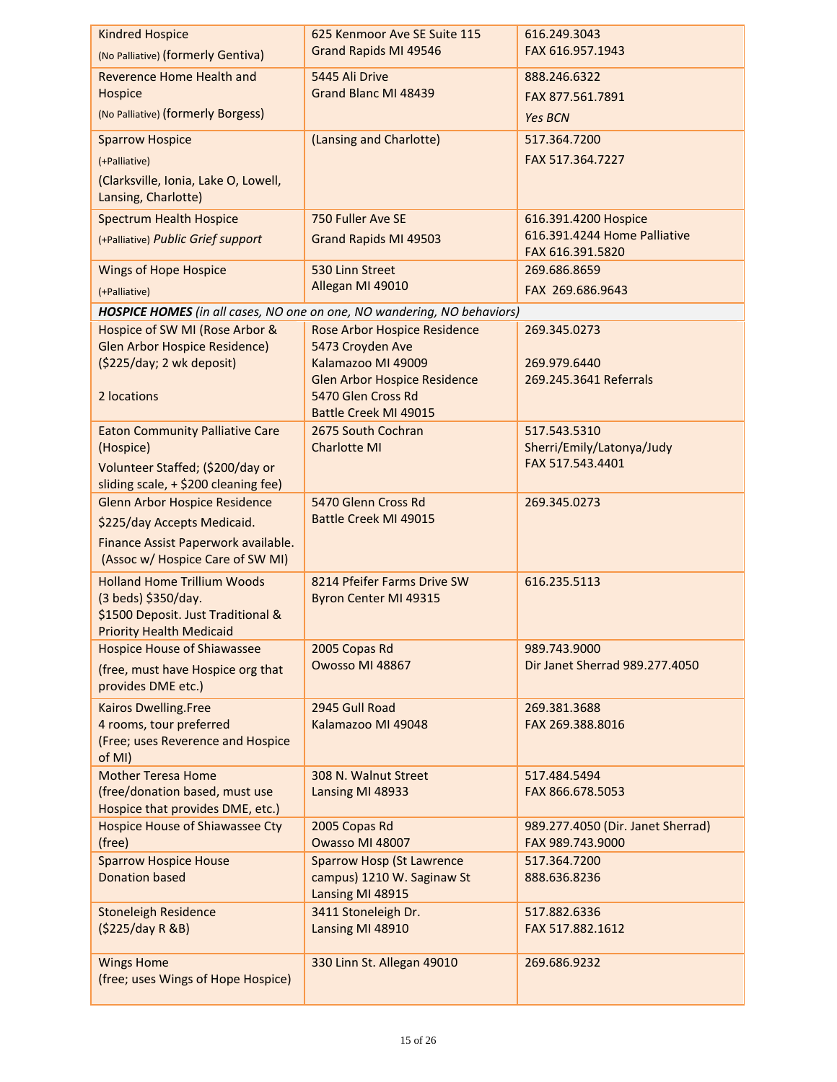| <b>Kindred Hospice</b>                                                       | 625 Kenmoor Ave SE Suite 115                                            | 616.249.3043<br>FAX 616.957.1943                 |
|------------------------------------------------------------------------------|-------------------------------------------------------------------------|--------------------------------------------------|
| (No Palliative) (formerly Gentiva)                                           | Grand Rapids MI 49546                                                   |                                                  |
| <b>Reverence Home Health and</b>                                             | 5445 Ali Drive                                                          | 888.246.6322                                     |
| Hospice                                                                      | Grand Blanc MI 48439                                                    | FAX 877.561.7891                                 |
| (No Palliative) (formerly Borgess)                                           |                                                                         | <b>Yes BCN</b>                                   |
| <b>Sparrow Hospice</b>                                                       | (Lansing and Charlotte)                                                 | 517.364.7200                                     |
| (+Palliative)                                                                |                                                                         | FAX 517.364.7227                                 |
| (Clarksville, Ionia, Lake O, Lowell,                                         |                                                                         |                                                  |
| Lansing, Charlotte)                                                          |                                                                         |                                                  |
| <b>Spectrum Health Hospice</b>                                               | 750 Fuller Ave SE                                                       | 616.391.4200 Hospice                             |
| (+Palliative) Public Grief support                                           | <b>Grand Rapids MI 49503</b>                                            | 616.391.4244 Home Palliative<br>FAX 616.391.5820 |
| <b>Wings of Hope Hospice</b>                                                 | 530 Linn Street                                                         | 269.686.8659                                     |
| (+Palliative)                                                                | Allegan MI 49010                                                        | FAX 269.686.9643                                 |
|                                                                              | HOSPICE HOMES (in all cases, NO one on one, NO wandering, NO behaviors) |                                                  |
| Hospice of SW MI (Rose Arbor &                                               | <b>Rose Arbor Hospice Residence</b>                                     | 269.345.0273                                     |
| <b>Glen Arbor Hospice Residence)</b>                                         | 5473 Croyden Ave                                                        |                                                  |
| (\$225/day; 2 wk deposit)                                                    | Kalamazoo MI 49009<br><b>Glen Arbor Hospice Residence</b>               | 269.979.6440<br>269.245.3641 Referrals           |
| 2 locations                                                                  | 5470 Glen Cross Rd                                                      |                                                  |
|                                                                              | Battle Creek MI 49015                                                   |                                                  |
| <b>Eaton Community Palliative Care</b>                                       | 2675 South Cochran                                                      | 517.543.5310                                     |
| (Hospice)                                                                    | <b>Charlotte MI</b>                                                     | Sherri/Emily/Latonya/Judy                        |
| Volunteer Staffed; (\$200/day or                                             |                                                                         | FAX 517.543.4401                                 |
| sliding scale, + \$200 cleaning fee)<br><b>Glenn Arbor Hospice Residence</b> | 5470 Glenn Cross Rd                                                     | 269.345.0273                                     |
| \$225/day Accepts Medicaid.                                                  | Battle Creek MI 49015                                                   |                                                  |
| Finance Assist Paperwork available.                                          |                                                                         |                                                  |
| (Assoc w/ Hospice Care of SW MI)                                             |                                                                         |                                                  |
| <b>Holland Home Trillium Woods</b>                                           | 8214 Pfeifer Farms Drive SW                                             | 616.235.5113                                     |
| (3 beds) \$350/day.                                                          | Byron Center MI 49315                                                   |                                                  |
| \$1500 Deposit. Just Traditional &                                           |                                                                         |                                                  |
| <b>Priority Health Medicaid</b><br><b>Hospice House of Shiawassee</b>        | 2005 Copas Rd                                                           | 989.743.9000                                     |
| (free, must have Hospice org that                                            | Owosso MI 48867                                                         | Dir Janet Sherrad 989.277.4050                   |
| provides DME etc.)                                                           |                                                                         |                                                  |
| Kairos Dwelling.Free                                                         | 2945 Gull Road                                                          | 269.381.3688                                     |
| 4 rooms, tour preferred                                                      | Kalamazoo MI 49048                                                      | FAX 269.388.8016                                 |
| (Free; uses Reverence and Hospice                                            |                                                                         |                                                  |
| of MI)<br><b>Mother Teresa Home</b>                                          | 308 N. Walnut Street                                                    | 517.484.5494                                     |
| (free/donation based, must use                                               | Lansing MI 48933                                                        | FAX 866.678.5053                                 |
| Hospice that provides DME, etc.)                                             |                                                                         |                                                  |
| <b>Hospice House of Shiawassee Cty</b>                                       | 2005 Copas Rd                                                           | 989.277.4050 (Dir. Janet Sherrad)                |
| (free)                                                                       | Owasso MI 48007                                                         | FAX 989.743.9000                                 |
| <b>Sparrow Hospice House</b><br><b>Donation based</b>                        | <b>Sparrow Hosp (St Lawrence</b><br>campus) 1210 W. Saginaw St          | 517.364.7200<br>888.636.8236                     |
|                                                                              | Lansing MI 48915                                                        |                                                  |
| <b>Stoneleigh Residence</b>                                                  | 3411 Stoneleigh Dr.                                                     | 517.882.6336                                     |
| (\$225/day R &B)                                                             | Lansing MI 48910                                                        | FAX 517.882.1612                                 |
| <b>Wings Home</b>                                                            | 330 Linn St. Allegan 49010                                              | 269.686.9232                                     |
| (free; uses Wings of Hope Hospice)                                           |                                                                         |                                                  |
|                                                                              |                                                                         |                                                  |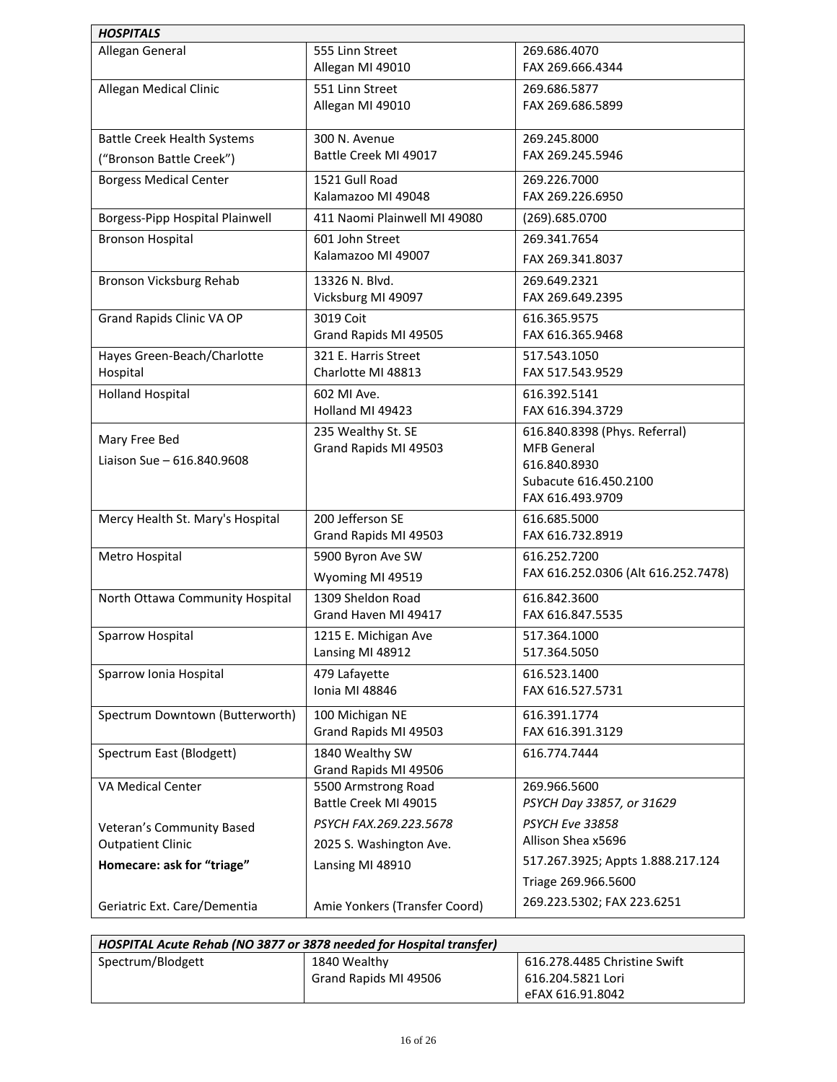| <b>HOSPITALS</b>                            |                                              |                                                                                                                  |
|---------------------------------------------|----------------------------------------------|------------------------------------------------------------------------------------------------------------------|
| Allegan General                             | 555 Linn Street<br>Allegan MI 49010          | 269.686.4070<br>FAX 269.666.4344                                                                                 |
| Allegan Medical Clinic                      | 551 Linn Street<br>Allegan MI 49010          | 269.686.5877<br>FAX 269.686.5899                                                                                 |
| <b>Battle Creek Health Systems</b>          | 300 N. Avenue                                | 269.245.8000                                                                                                     |
| ("Bronson Battle Creek")                    | Battle Creek MI 49017                        | FAX 269.245.5946                                                                                                 |
| <b>Borgess Medical Center</b>               | 1521 Gull Road<br>Kalamazoo MI 49048         | 269.226.7000<br>FAX 269.226.6950                                                                                 |
| Borgess-Pipp Hospital Plainwell             | 411 Naomi Plainwell MI 49080                 | (269).685.0700                                                                                                   |
| <b>Bronson Hospital</b>                     | 601 John Street<br>Kalamazoo MI 49007        | 269.341.7654<br>FAX 269.341.8037                                                                                 |
| Bronson Vicksburg Rehab                     | 13326 N. Blvd.<br>Vicksburg MI 49097         | 269.649.2321<br>FAX 269.649.2395                                                                                 |
| Grand Rapids Clinic VA OP                   | 3019 Coit<br>Grand Rapids MI 49505           | 616.365.9575<br>FAX 616.365.9468                                                                                 |
| Hayes Green-Beach/Charlotte<br>Hospital     | 321 E. Harris Street<br>Charlotte MI 48813   | 517.543.1050<br>FAX 517.543.9529                                                                                 |
| <b>Holland Hospital</b>                     | 602 MI Ave.<br>Holland MI 49423              | 616.392.5141<br>FAX 616.394.3729                                                                                 |
| Mary Free Bed<br>Liaison Sue - 616.840.9608 | 235 Wealthy St. SE<br>Grand Rapids MI 49503  | 616.840.8398 (Phys. Referral)<br><b>MFB General</b><br>616.840.8930<br>Subacute 616.450.2100<br>FAX 616.493.9709 |
| Mercy Health St. Mary's Hospital            | 200 Jefferson SE<br>Grand Rapids MI 49503    | 616.685.5000<br>FAX 616.732.8919                                                                                 |
| Metro Hospital                              | 5900 Byron Ave SW<br>Wyoming MI 49519        | 616.252.7200<br>FAX 616.252.0306 (Alt 616.252.7478)                                                              |
| North Ottawa Community Hospital             | 1309 Sheldon Road<br>Grand Haven MI 49417    | 616.842.3600<br>FAX 616.847.5535                                                                                 |
| Sparrow Hospital                            | 1215 E. Michigan Ave<br>Lansing MI 48912     | 517.364.1000<br>517.364.5050                                                                                     |
| Sparrow Ionia Hospital                      | 479 Lafayette<br>Ionia MI 48846              | 616.523.1400<br>FAX 616.527.5731                                                                                 |
| Spectrum Downtown (Butterworth)             | 100 Michigan NE<br>Grand Rapids MI 49503     | 616.391.1774<br>FAX 616.391.3129                                                                                 |
| Spectrum East (Blodgett)                    | 1840 Wealthy SW<br>Grand Rapids MI 49506     | 616.774.7444                                                                                                     |
| VA Medical Center                           | 5500 Armstrong Road<br>Battle Creek MI 49015 | 269.966.5600<br>PSYCH Day 33857, or 31629                                                                        |
| Veteran's Community Based                   | PSYCH FAX.269.223.5678                       | <b>PSYCH Eve 33858</b>                                                                                           |
| <b>Outpatient Clinic</b>                    | 2025 S. Washington Ave.                      | Allison Shea x5696                                                                                               |
| Homecare: ask for "triage"                  | Lansing MI 48910                             | 517.267.3925; Appts 1.888.217.124<br>Triage 269.966.5600                                                         |
| Geriatric Ext. Care/Dementia                | Amie Yonkers (Transfer Coord)                | 269.223.5302; FAX 223.6251                                                                                       |

| HOSPITAL Acute Rehab (NO 3877 or 3878 needed for Hospital transfer) |                       |                              |  |
|---------------------------------------------------------------------|-----------------------|------------------------------|--|
| Spectrum/Blodgett                                                   | 1840 Wealthy          | 616.278.4485 Christine Swift |  |
|                                                                     | Grand Rapids MI 49506 | 616.204.5821 Lori            |  |
|                                                                     |                       | eFAX 616.91.8042             |  |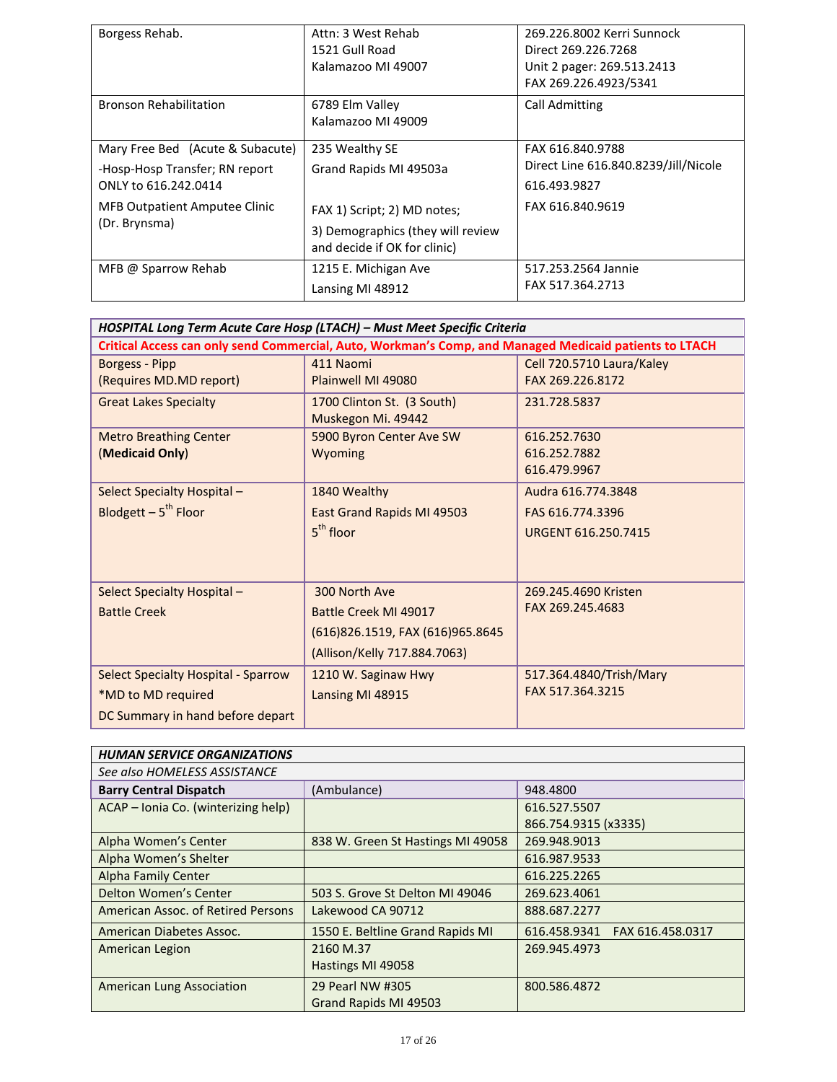| Borgess Rehab.                       | Attn: 3 West Rehab<br>1521 Gull Road  | 269.226.8002 Kerri Sunnock<br>Direct 269.226.7268   |
|--------------------------------------|---------------------------------------|-----------------------------------------------------|
|                                      | Kalamazoo MI 49007                    | Unit 2 pager: 269.513.2413<br>FAX 269.226.4923/5341 |
| <b>Bronson Rehabilitation</b>        | 6789 Elm Valley<br>Kalamazoo MI 49009 | <b>Call Admitting</b>                               |
| Mary Free Bed (Acute & Subacute)     | 235 Wealthy SE                        | FAX 616.840.9788                                    |
| -Hosp-Hosp Transfer; RN report       | Grand Rapids MI 49503a                | Direct Line 616.840.8239/Jill/Nicole                |
| ONLY to 616.242.0414                 |                                       | 616.493.9827                                        |
| <b>MFB Outpatient Amputee Clinic</b> | FAX 1) Script; 2) MD notes;           | FAX 616.840.9619                                    |
| (Dr. Brynsma)                        | 3) Demographics (they will review     |                                                     |
|                                      | and decide if OK for clinic)          |                                                     |
| MFB @ Sparrow Rehab                  | 1215 E. Michigan Ave                  | 517.253.2564 Jannie                                 |
|                                      | Lansing MI 48912                      | FAX 517.364.2713                                    |

| HOSPITAL Long Term Acute Care Hosp (LTACH) - Must Meet Specific Criteria |                                                                                                        |                           |
|--------------------------------------------------------------------------|--------------------------------------------------------------------------------------------------------|---------------------------|
|                                                                          | Critical Access can only send Commercial, Auto, Workman's Comp, and Managed Medicaid patients to LTACH |                           |
| Borgess - Pipp                                                           | 411 Naomi                                                                                              | Cell 720.5710 Laura/Kaley |
| (Requires MD.MD report)                                                  | Plainwell MI 49080                                                                                     | FAX 269.226.8172          |
| <b>Great Lakes Specialty</b>                                             | 1700 Clinton St. (3 South)                                                                             | 231.728.5837              |
|                                                                          | Muskegon Mi. 49442                                                                                     |                           |
| <b>Metro Breathing Center</b>                                            | 5900 Byron Center Ave SW                                                                               | 616.252.7630              |
| (Medicaid Only)                                                          | Wyoming                                                                                                | 616.252.7882              |
|                                                                          |                                                                                                        | 616.479.9967              |
| Select Specialty Hospital -                                              | 1840 Wealthy                                                                                           | Audra 616, 774, 3848      |
| Blodgett $-5^{th}$ Floor                                                 | East Grand Rapids MI 49503                                                                             | FAS 616,774,3396          |
|                                                                          | $5th$ floor                                                                                            | URGENT 616.250.7415       |
|                                                                          |                                                                                                        |                           |
|                                                                          |                                                                                                        |                           |
| Select Specialty Hospital -                                              | 300 North Ave                                                                                          | 269.245.4690 Kristen      |
| <b>Battle Creek</b>                                                      | Battle Creek MI 49017                                                                                  | FAX 269.245.4683          |
|                                                                          | (616)826.1519, FAX (616)965.8645                                                                       |                           |
|                                                                          | (Allison/Kelly 717.884.7063)                                                                           |                           |
| <b>Select Specialty Hospital - Sparrow</b>                               | 1210 W. Saginaw Hwy                                                                                    | 517.364.4840/Trish/Mary   |
| *MD to MD required                                                       | Lansing MI 48915                                                                                       | FAX 517.364.3215          |
| DC Summary in hand before depart                                         |                                                                                                        |                           |

| <b>HUMAN SERVICE ORGANIZATIONS</b>  |                                   |                                  |  |
|-------------------------------------|-----------------------------------|----------------------------------|--|
| See also HOMELESS ASSISTANCE        |                                   |                                  |  |
| <b>Barry Central Dispatch</b>       | (Ambulance)                       | 948.4800                         |  |
| ACAP - Ionia Co. (winterizing help) |                                   | 616.527.5507                     |  |
|                                     |                                   | 866.754.9315 (x3335)             |  |
| Alpha Women's Center                | 838 W. Green St Hastings MI 49058 | 269.948.9013                     |  |
| Alpha Women's Shelter               |                                   | 616.987.9533                     |  |
| <b>Alpha Family Center</b>          |                                   | 616.225.2265                     |  |
| Delton Women's Center               | 503 S. Grove St Delton MI 49046   | 269.623.4061                     |  |
| American Assoc. of Retired Persons  | Lakewood CA 90712                 | 888.687.2277                     |  |
| American Diabetes Assoc.            | 1550 E. Beltline Grand Rapids MI  | FAX 616.458.0317<br>616.458.9341 |  |
| American Legion                     | 2160 M.37                         | 269.945.4973                     |  |
|                                     | Hastings MI 49058                 |                                  |  |
| <b>American Lung Association</b>    | 29 Pearl NW #305                  | 800.586.4872                     |  |
|                                     | Grand Rapids MI 49503             |                                  |  |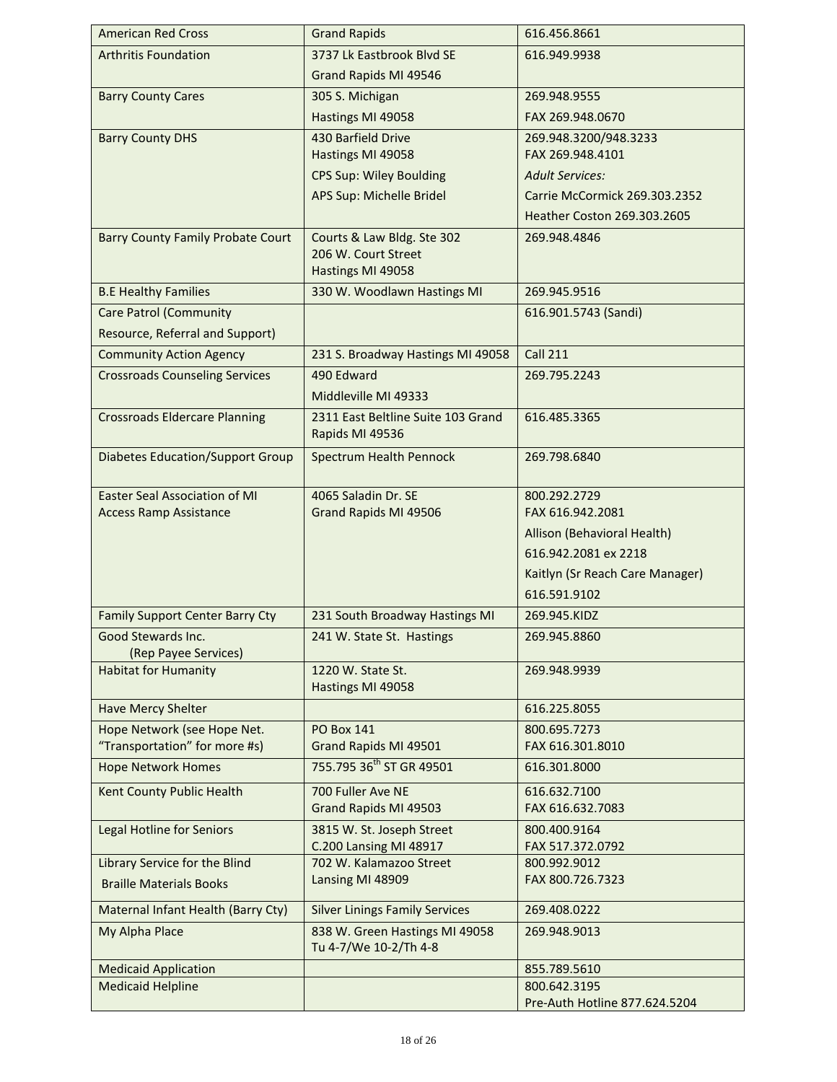| <b>American Red Cross</b>                  | <b>Grand Rapids</b>                                           | 616.456.8661                     |
|--------------------------------------------|---------------------------------------------------------------|----------------------------------|
| <b>Arthritis Foundation</b>                | 3737 Lk Eastbrook Blvd SE                                     | 616.949.9938                     |
|                                            | Grand Rapids MI 49546                                         |                                  |
| <b>Barry County Cares</b>                  | 305 S. Michigan                                               | 269.948.9555                     |
|                                            | Hastings MI 49058                                             | FAX 269.948.0670                 |
| <b>Barry County DHS</b>                    | 430 Barfield Drive                                            | 269.948.3200/948.3233            |
|                                            | Hastings MI 49058                                             | FAX 269.948.4101                 |
|                                            | <b>CPS Sup: Wiley Boulding</b>                                | <b>Adult Services:</b>           |
|                                            | APS Sup: Michelle Bridel                                      | Carrie McCormick 269.303.2352    |
|                                            |                                                               | Heather Coston 269.303.2605      |
| <b>Barry County Family Probate Court</b>   | Courts & Law Bldg. Ste 302                                    | 269.948.4846                     |
|                                            | 206 W. Court Street                                           |                                  |
|                                            | Hastings MI 49058                                             |                                  |
| <b>B.E Healthy Families</b>                | 330 W. Woodlawn Hastings MI                                   | 269.945.9516                     |
| <b>Care Patrol (Community</b>              |                                                               | 616.901.5743 (Sandi)             |
| Resource, Referral and Support)            |                                                               |                                  |
| <b>Community Action Agency</b>             | 231 S. Broadway Hastings MI 49058                             | <b>Call 211</b>                  |
| <b>Crossroads Counseling Services</b>      | 490 Edward                                                    | 269.795.2243                     |
|                                            | Middleville MI 49333                                          |                                  |
| <b>Crossroads Eldercare Planning</b>       | 2311 East Beltline Suite 103 Grand<br>Rapids MI 49536         | 616.485.3365                     |
| <b>Diabetes Education/Support Group</b>    | <b>Spectrum Health Pennock</b>                                | 269.798.6840                     |
| <b>Easter Seal Association of MI</b>       | 4065 Saladin Dr. SE                                           | 800.292.2729                     |
| <b>Access Ramp Assistance</b>              | Grand Rapids MI 49506                                         | FAX 616.942.2081                 |
|                                            |                                                               | Allison (Behavioral Health)      |
|                                            |                                                               | 616.942.2081 ex 2218             |
|                                            |                                                               | Kaitlyn (Sr Reach Care Manager)  |
|                                            |                                                               | 616.591.9102                     |
| <b>Family Support Center Barry Cty</b>     | 231 South Broadway Hastings MI                                | 269.945.KIDZ                     |
| Good Stewards Inc.<br>(Rep Payee Services) | 241 W. State St. Hastings                                     | 269.945.8860                     |
| <b>Habitat for Humanity</b>                | 1220 W. State St.                                             | 269.948.9939                     |
|                                            | Hastings MI 49058                                             |                                  |
| <b>Have Mercy Shelter</b>                  |                                                               | 616.225.8055                     |
| Hope Network (see Hope Net.                | <b>PO Box 141</b>                                             | 800.695.7273                     |
| "Transportation" for more #s)              | Grand Rapids MI 49501<br>755.795 36 <sup>th</sup> ST GR 49501 | FAX 616.301.8010                 |
| <b>Hope Network Homes</b>                  |                                                               | 616.301.8000                     |
| Kent County Public Health                  | 700 Fuller Ave NE<br>Grand Rapids MI 49503                    | 616.632.7100<br>FAX 616.632.7083 |
| <b>Legal Hotline for Seniors</b>           | 3815 W. St. Joseph Street<br>C.200 Lansing MI 48917           | 800.400.9164<br>FAX 517.372.0792 |
| Library Service for the Blind              | 702 W. Kalamazoo Street                                       | 800.992.9012                     |
| <b>Braille Materials Books</b>             | Lansing MI 48909                                              | FAX 800.726.7323                 |
| Maternal Infant Health (Barry Cty)         | <b>Silver Linings Family Services</b>                         | 269.408.0222                     |
| My Alpha Place                             | 838 W. Green Hastings MI 49058                                | 269.948.9013                     |
|                                            | Tu 4-7/We 10-2/Th 4-8                                         |                                  |
| <b>Medicaid Application</b>                |                                                               | 855.789.5610                     |
| <b>Medicaid Helpline</b>                   |                                                               | 800.642.3195                     |
|                                            |                                                               | Pre-Auth Hotline 877.624.5204    |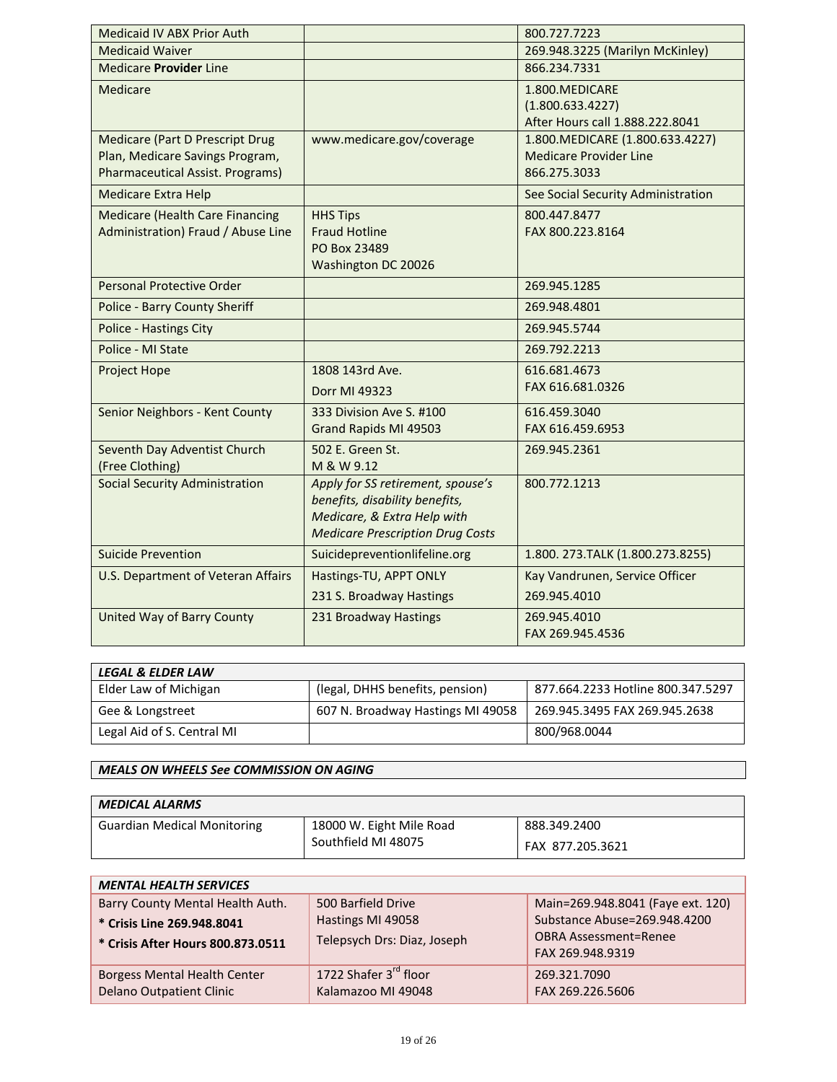| Medicaid IV ABX Prior Auth                                                                                           |                                                                                                                                               | 800.727.7223                                                                      |
|----------------------------------------------------------------------------------------------------------------------|-----------------------------------------------------------------------------------------------------------------------------------------------|-----------------------------------------------------------------------------------|
| <b>Medicaid Waiver</b>                                                                                               |                                                                                                                                               | 269.948.3225 (Marilyn McKinley)                                                   |
| Medicare <b>Provider</b> Line                                                                                        |                                                                                                                                               | 866.234.7331                                                                      |
| Medicare                                                                                                             |                                                                                                                                               | 1.800.MEDICARE<br>(1.800.633.4227)<br>After Hours call 1.888.222.8041             |
| <b>Medicare (Part D Prescript Drug</b><br>Plan, Medicare Savings Program,<br><b>Pharmaceutical Assist. Programs)</b> | www.medicare.gov/coverage                                                                                                                     | 1.800. MEDICARE (1.800.633.4227)<br><b>Medicare Provider Line</b><br>866.275.3033 |
| <b>Medicare Extra Help</b>                                                                                           |                                                                                                                                               | See Social Security Administration                                                |
| <b>Medicare (Health Care Financing</b><br>Administration) Fraud / Abuse Line                                         | <b>HHS Tips</b><br><b>Fraud Hotline</b><br>PO Box 23489<br>Washington DC 20026                                                                | 800.447.8477<br>FAX 800.223.8164                                                  |
| <b>Personal Protective Order</b>                                                                                     |                                                                                                                                               | 269.945.1285                                                                      |
| <b>Police - Barry County Sheriff</b>                                                                                 |                                                                                                                                               | 269.948.4801                                                                      |
| <b>Police - Hastings City</b>                                                                                        |                                                                                                                                               | 269.945.5744                                                                      |
| Police - MI State                                                                                                    |                                                                                                                                               | 269.792.2213                                                                      |
| Project Hope                                                                                                         | 1808 143rd Ave.<br>Dorr MI 49323                                                                                                              | 616.681.4673<br>FAX 616.681.0326                                                  |
| Senior Neighbors - Kent County                                                                                       | 333 Division Ave S. #100<br>Grand Rapids MI 49503                                                                                             | 616.459.3040<br>FAX 616.459.6953                                                  |
| Seventh Day Adventist Church<br>(Free Clothing)                                                                      | 502 E. Green St.<br>M & W 9.12                                                                                                                | 269.945.2361                                                                      |
| <b>Social Security Administration</b>                                                                                | Apply for SS retirement, spouse's<br>benefits, disability benefits,<br>Medicare, & Extra Help with<br><b>Medicare Prescription Drug Costs</b> | 800.772.1213                                                                      |
| <b>Suicide Prevention</b>                                                                                            | Suicidepreventionlifeline.org                                                                                                                 | 1.800. 273. TALK (1.800. 273. 8255)                                               |
| U.S. Department of Veteran Affairs                                                                                   | Hastings-TU, APPT ONLY                                                                                                                        | Kay Vandrunen, Service Officer                                                    |
|                                                                                                                      | 231 S. Broadway Hastings                                                                                                                      | 269.945.4010                                                                      |
| United Way of Barry County                                                                                           | 231 Broadway Hastings                                                                                                                         | 269.945.4010<br>FAX 269.945.4536                                                  |

| <b>LEGAL &amp; ELDER LAW</b> |                                   |                                   |
|------------------------------|-----------------------------------|-----------------------------------|
| Elder Law of Michigan        | (legal, DHHS benefits, pension)   | 877.664.2233 Hotline 800.347.5297 |
| Gee & Longstreet             | 607 N. Broadway Hastings MI 49058 | 269.945.3495 FAX 269.945.2638     |
| Legal Aid of S. Central MI   |                                   | 800/968.0044                      |

## *MEALS ON WHEELS See COMMISSION ON AGING*

| <b>MEDICAL ALARMS</b>              |                          |                  |
|------------------------------------|--------------------------|------------------|
| <b>Guardian Medical Monitoring</b> | 18000 W. Eight Mile Road | 888.349.2400     |
|                                    | Southfield MI 48075      | FAX 877.205.3621 |

| <b>MENTAL HEALTH SERVICES</b>                                          |                                                  |                                                                                  |
|------------------------------------------------------------------------|--------------------------------------------------|----------------------------------------------------------------------------------|
| Barry County Mental Health Auth.                                       | 500 Barfield Drive                               | Main=269.948.8041 (Faye ext. 120)                                                |
| * Crisis Line 269.948.8041<br>* Crisis After Hours 800.873.0511        | Hastings MI 49058<br>Telepsych Drs: Diaz, Joseph | Substance Abuse=269.948.4200<br><b>OBRA Assessment=Renee</b><br>FAX 269.948.9319 |
| <b>Borgess Mental Health Center</b><br><b>Delano Outpatient Clinic</b> | 1722 Shafer 3rd floor<br>Kalamazoo MI 49048      | 269.321.7090<br>FAX 269.226.5606                                                 |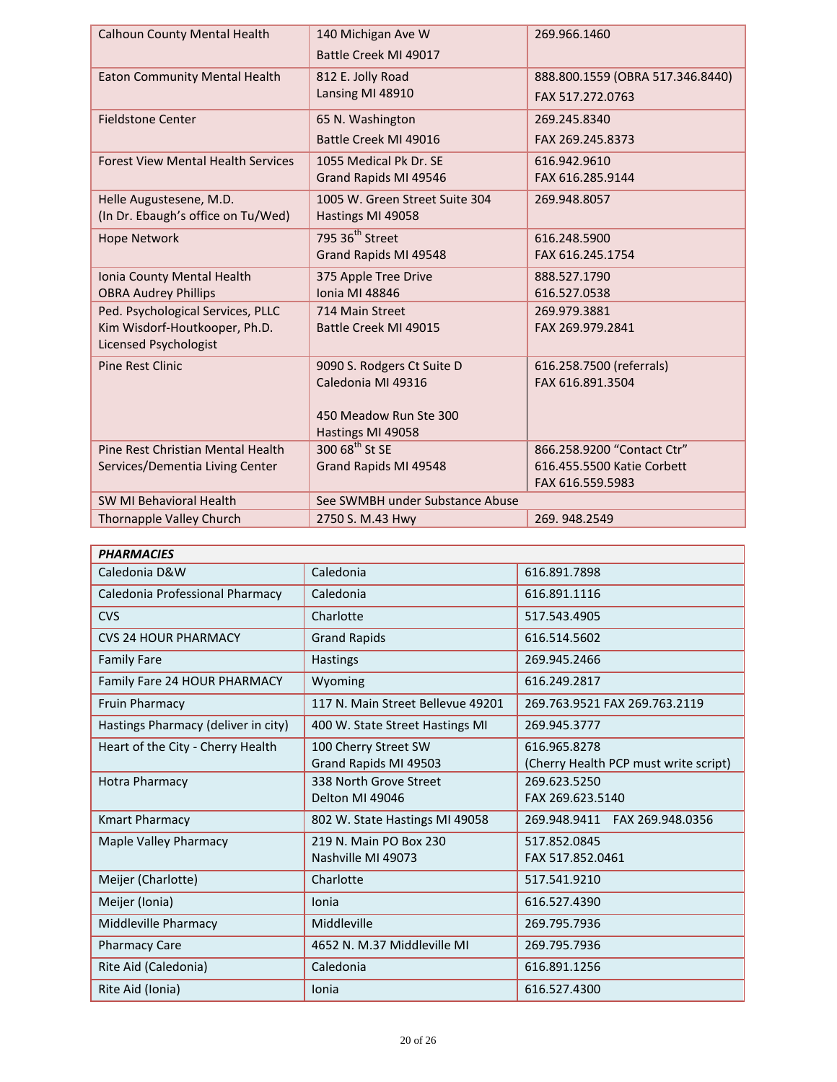| <b>Calhoun County Mental Health</b>       | 140 Michigan Ave W                             | 269.966.1460                                             |
|-------------------------------------------|------------------------------------------------|----------------------------------------------------------|
|                                           | Battle Creek MI 49017                          |                                                          |
| <b>Eaton Community Mental Health</b>      | 812 E. Jolly Road                              | 888.800.1559 (OBRA 517.346.8440)                         |
|                                           | Lansing MI 48910                               | FAX 517.272.0763                                         |
| <b>Fieldstone Center</b>                  | 65 N. Washington                               | 269.245.8340                                             |
|                                           | Battle Creek MI 49016                          | FAX 269.245.8373                                         |
| <b>Forest View Mental Health Services</b> | 1055 Medical Pk Dr. SE                         | 616.942.9610                                             |
|                                           | Grand Rapids MI 49546                          | FAX 616.285.9144                                         |
| Helle Augustesene, M.D.                   | 1005 W. Green Street Suite 304                 | 269.948.8057                                             |
| (In Dr. Ebaugh's office on Tu/Wed)        | Hastings MI 49058                              |                                                          |
| <b>Hope Network</b>                       | 795 36 <sup>th</sup> Street                    | 616.248.5900                                             |
|                                           | Grand Rapids MI 49548                          | FAX 616.245.1754                                         |
| Ionia County Mental Health                | 375 Apple Tree Drive                           | 888.527.1790                                             |
| <b>OBRA Audrey Phillips</b>               | <b>Ionia MI 48846</b>                          | 616.527.0538                                             |
| Ped. Psychological Services, PLLC         | 714 Main Street                                | 269.979.3881                                             |
| Kim Wisdorf-Houtkooper, Ph.D.             | Battle Creek MI 49015                          | FAX 269.979.2841                                         |
| <b>Licensed Psychologist</b>              |                                                |                                                          |
| <b>Pine Rest Clinic</b>                   | 9090 S. Rodgers Ct Suite D                     | 616.258.7500 (referrals)                                 |
|                                           | Caledonia MI 49316                             | FAX 616.891.3504                                         |
|                                           |                                                |                                                          |
|                                           | 450 Meadow Run Ste 300                         |                                                          |
| Pine Rest Christian Mental Health         | Hastings MI 49058<br>$30068^{\text{th}}$ St SE |                                                          |
| Services/Dementia Living Center           | Grand Rapids MI 49548                          | 866.258.9200 "Contact Ctr"<br>616.455.5500 Katie Corbett |
|                                           |                                                | FAX 616.559.5983                                         |
| SW MI Behavioral Health                   | See SWMBH under Substance Abuse                |                                                          |
| Thornapple Valley Church                  | 2750 S. M.43 Hwy                               | 269.948.2549                                             |
|                                           |                                                |                                                          |

| <b>PHARMACIES</b>                   |                                               |                                                       |
|-------------------------------------|-----------------------------------------------|-------------------------------------------------------|
| Caledonia D&W                       | Caledonia                                     | 616.891.7898                                          |
| Caledonia Professional Pharmacy     | Caledonia                                     | 616.891.1116                                          |
| <b>CVS</b>                          | Charlotte                                     | 517.543.4905                                          |
| <b>CVS 24 HOUR PHARMACY</b>         | <b>Grand Rapids</b>                           | 616.514.5602                                          |
| <b>Family Fare</b>                  | <b>Hastings</b>                               | 269.945.2466                                          |
| Family Fare 24 HOUR PHARMACY        | Wyoming                                       | 616.249.2817                                          |
| Fruin Pharmacy                      | 117 N. Main Street Bellevue 49201             | 269.763.9521 FAX 269.763.2119                         |
| Hastings Pharmacy (deliver in city) | 400 W. State Street Hastings MI               | 269.945.3777                                          |
| Heart of the City - Cherry Health   | 100 Cherry Street SW<br>Grand Rapids MI 49503 | 616.965.8278<br>(Cherry Health PCP must write script) |
| <b>Hotra Pharmacy</b>               | 338 North Grove Street<br>Delton MI 49046     | 269.623.5250<br>FAX 269.623.5140                      |
| <b>Kmart Pharmacy</b>               | 802 W. State Hastings MI 49058                | 269.948.9411<br>FAX 269.948.0356                      |
| Maple Valley Pharmacy               | 219 N. Main PO Box 230<br>Nashville MI 49073  | 517.852.0845<br>FAX 517.852.0461                      |
| Meijer (Charlotte)                  | Charlotte                                     | 517.541.9210                                          |
| Meijer (Ionia)                      | Ionia                                         | 616.527.4390                                          |
| Middleville Pharmacy                | Middleville                                   | 269.795.7936                                          |
| <b>Pharmacy Care</b>                | 4652 N. M.37 Middleville MI                   | 269.795.7936                                          |
| Rite Aid (Caledonia)                | Caledonia                                     | 616.891.1256                                          |
| Rite Aid (Ionia)                    | Ionia                                         | 616.527.4300                                          |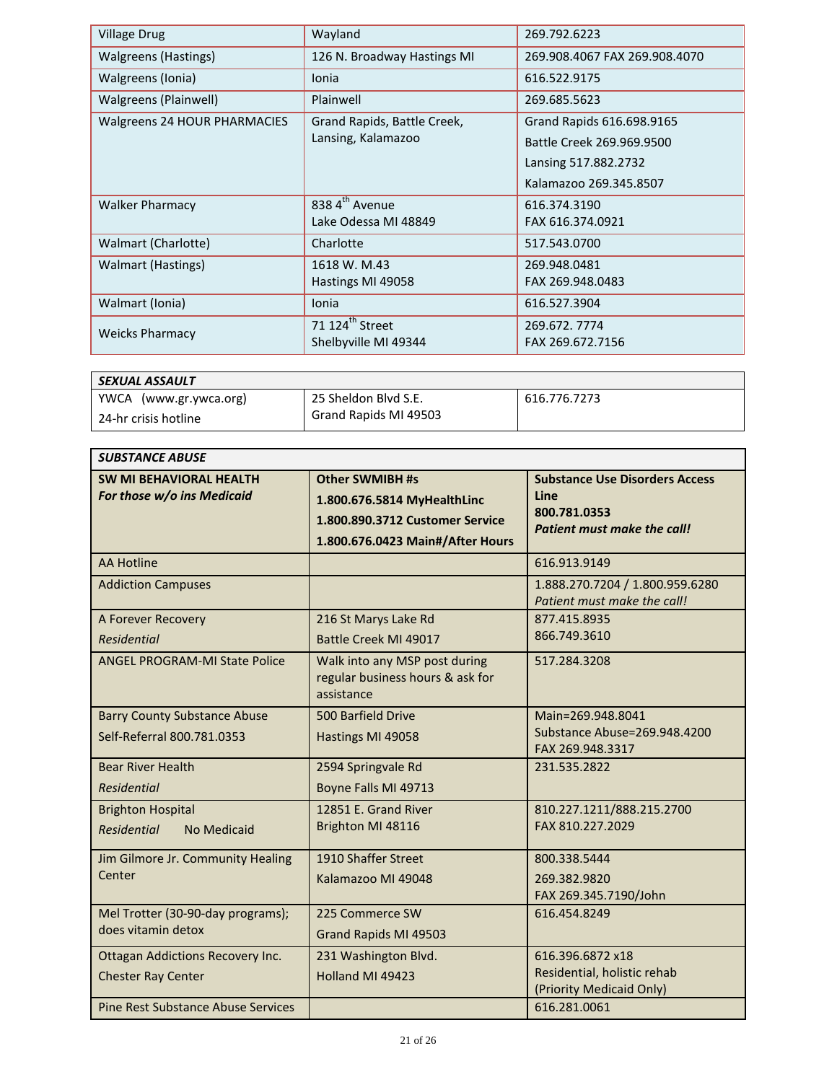| <b>Village Drug</b>          | Wayland                     | 269.792.6223                  |
|------------------------------|-----------------------------|-------------------------------|
| Walgreens (Hastings)         | 126 N. Broadway Hastings MI | 269.908.4067 FAX 269.908.4070 |
| Walgreens (Ionia)            | Ionia                       | 616.522.9175                  |
| Walgreens (Plainwell)        | Plainwell                   | 269.685.5623                  |
| Walgreens 24 HOUR PHARMACIES | Grand Rapids, Battle Creek, | Grand Rapids 616.698.9165     |
|                              | Lansing, Kalamazoo          | Battle Creek 269.969.9500     |
|                              |                             | Lansing 517.882.2732          |
|                              |                             | Kalamazoo 269.345.8507        |
| <b>Walker Pharmacy</b>       | 838 4 <sup>th</sup> Avenue  | 616.374.3190                  |
|                              | Lake Odessa MI 48849        | FAX 616.374.0921              |
| Walmart (Charlotte)          | Charlotte                   | 517.543.0700                  |
| <b>Walmart (Hastings)</b>    | 1618 W. M.43                | 269.948.0481                  |
|                              | Hastings MI 49058           | FAX 269.948.0483              |
| Walmart (Ionia)              | Ionia                       | 616.527.3904                  |
| <b>Weicks Pharmacy</b>       | 71 124 <sup>th</sup> Street | 269.672.7774                  |
|                              | Shelbyville MI 49344        | FAX 269.672.7156              |

| SEXUAL ASSAULT         |                       |              |
|------------------------|-----------------------|--------------|
| YWCA (www.gr.ywca.org) | 25 Sheldon Blvd S.E.  | 616.776.7273 |
| 24-hr crisis hotline   | Grand Rapids MI 49503 |              |

| <b>SUBSTANCE ABUSE</b>                                               |                                                                                                                              |                                                                                                     |
|----------------------------------------------------------------------|------------------------------------------------------------------------------------------------------------------------------|-----------------------------------------------------------------------------------------------------|
| <b>SW MI BEHAVIORAL HEALTH</b><br>For those w/o ins Medicaid         | <b>Other SWMIBH #s</b><br>1.800.676.5814 MyHealthLinc<br>1.800.890.3712 Customer Service<br>1.800.676.0423 Main#/After Hours | <b>Substance Use Disorders Access</b><br>Line<br>800.781.0353<br><b>Patient must make the call!</b> |
| <b>AA Hotline</b>                                                    |                                                                                                                              | 616.913.9149                                                                                        |
| <b>Addiction Campuses</b>                                            |                                                                                                                              | 1.888.270.7204 / 1.800.959.6280<br>Patient must make the call!                                      |
| A Forever Recovery<br><b>Residential</b>                             | 216 St Marys Lake Rd<br>Battle Creek MI 49017                                                                                | 877.415.8935<br>866.749.3610                                                                        |
| <b>ANGEL PROGRAM-MI State Police</b>                                 | Walk into any MSP post during<br>regular business hours & ask for<br>assistance                                              | 517.284.3208                                                                                        |
| <b>Barry County Substance Abuse</b><br>Self-Referral 800.781.0353    | 500 Barfield Drive<br>Hastings MI 49058                                                                                      | Main=269.948.8041<br>Substance Abuse=269.948.4200<br>FAX 269.948.3317                               |
| <b>Bear River Health</b><br><b>Residential</b>                       | 2594 Springvale Rd<br>Boyne Falls MI 49713                                                                                   | 231.535.2822                                                                                        |
| <b>Brighton Hospital</b><br><b>Residential</b><br>No Medicaid        | 12851 E. Grand River<br>Brighton MI 48116                                                                                    | 810.227.1211/888.215.2700<br>FAX 810.227.2029                                                       |
| Jim Gilmore Jr. Community Healing<br>Center                          | 1910 Shaffer Street<br>Kalamazoo MI 49048                                                                                    | 800.338.5444<br>269.382.9820<br>FAX 269.345.7190/John                                               |
| Mel Trotter (30-90-day programs);<br>does vitamin detox              | 225 Commerce SW<br>Grand Rapids MI 49503                                                                                     | 616.454.8249                                                                                        |
| <b>Ottagan Addictions Recovery Inc.</b><br><b>Chester Ray Center</b> | 231 Washington Blvd.<br>Holland MI 49423                                                                                     | 616.396.6872 x18<br>Residential, holistic rehab<br>(Priority Medicaid Only)                         |
| <b>Pine Rest Substance Abuse Services</b>                            |                                                                                                                              | 616.281.0061                                                                                        |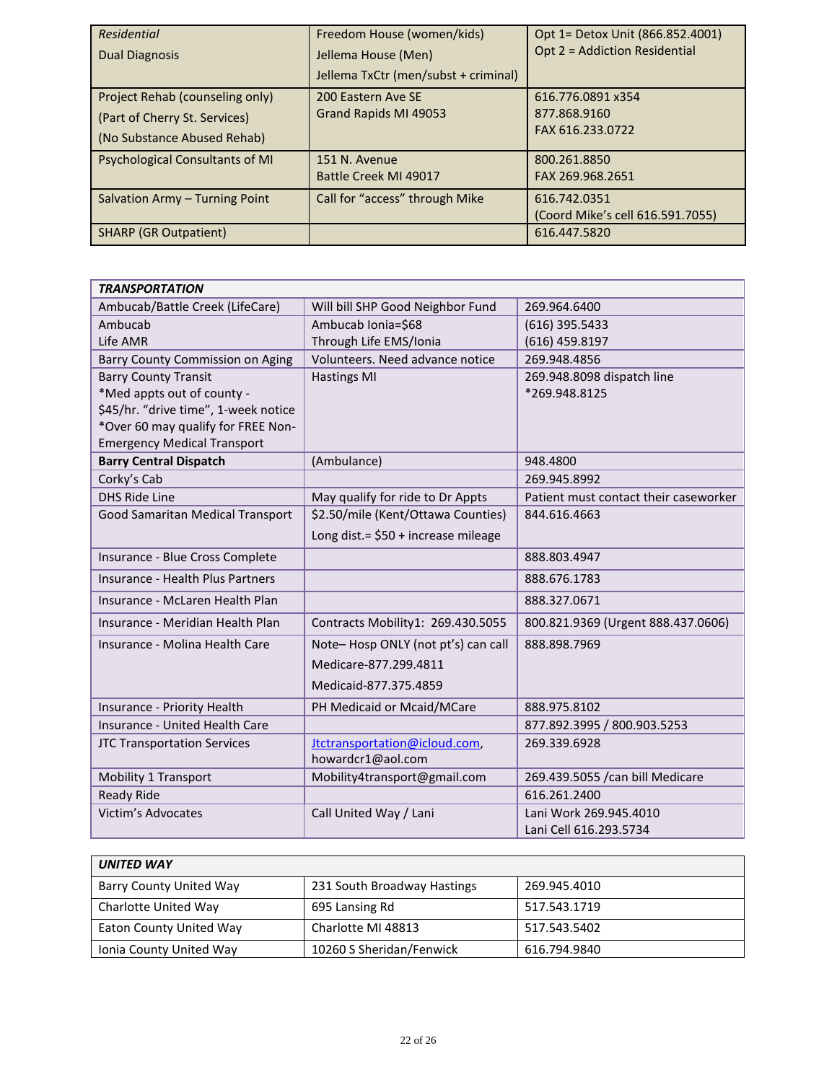| <b>Residential</b><br><b>Dual Diagnosis</b>                                                     | Freedom House (women/kids)<br>Jellema House (Men)<br>Jellema TxCtr (men/subst + criminal) | Opt 1= Detox Unit (866.852.4001)<br>Opt 2 = Addiction Residential |
|-------------------------------------------------------------------------------------------------|-------------------------------------------------------------------------------------------|-------------------------------------------------------------------|
| Project Rehab (counseling only)<br>(Part of Cherry St. Services)<br>(No Substance Abused Rehab) | 200 Eastern Ave SE<br>Grand Rapids MI 49053                                               | 616.776.0891 x354<br>877.868.9160<br>FAX 616.233.0722             |
| <b>Psychological Consultants of MI</b>                                                          | 151 N. Avenue<br>Battle Creek MI 49017                                                    | 800.261.8850<br>FAX 269.968.2651                                  |
| Salvation Army - Turning Point                                                                  | Call for "access" through Mike                                                            | 616.742.0351<br>(Coord Mike's cell 616.591.7055)                  |
| <b>SHARP (GR Outpatient)</b>                                                                    |                                                                                           | 616.447.5820                                                      |

| <b>TRANSPORTATION</b>                |                                      |                                       |
|--------------------------------------|--------------------------------------|---------------------------------------|
| Ambucab/Battle Creek (LifeCare)      | Will bill SHP Good Neighbor Fund     | 269.964.6400                          |
| Ambucab                              | Ambucab Ionia=\$68                   | (616) 395.5433                        |
| Life AMR                             | Through Life EMS/Ionia               | (616) 459.8197                        |
| Barry County Commission on Aging     | Volunteers. Need advance notice      | 269.948.4856                          |
| <b>Barry County Transit</b>          | <b>Hastings MI</b>                   | 269.948.8098 dispatch line            |
| *Med appts out of county -           |                                      | *269.948.8125                         |
| \$45/hr. "drive time", 1-week notice |                                      |                                       |
| *Over 60 may qualify for FREE Non-   |                                      |                                       |
| <b>Emergency Medical Transport</b>   |                                      |                                       |
| <b>Barry Central Dispatch</b>        | (Ambulance)                          | 948.4800                              |
| Corky's Cab                          |                                      | 269.945.8992                          |
| <b>DHS Ride Line</b>                 | May qualify for ride to Dr Appts     | Patient must contact their caseworker |
| Good Samaritan Medical Transport     | \$2.50/mile (Kent/Ottawa Counties)   | 844.616.4663                          |
|                                      | Long dist. = \$50 + increase mileage |                                       |
| Insurance - Blue Cross Complete      |                                      | 888.803.4947                          |
| Insurance - Health Plus Partners     |                                      | 888.676.1783                          |
| Insurance - McLaren Health Plan      |                                      | 888.327.0671                          |
| Insurance - Meridian Health Plan     | Contracts Mobility1: 269.430.5055    | 800.821.9369 (Urgent 888.437.0606)    |
| Insurance - Molina Health Care       | Note-Hosp ONLY (not pt's) can call   | 888.898.7969                          |
|                                      | Medicare-877.299.4811                |                                       |
|                                      | Medicaid-877.375.4859                |                                       |
| Insurance - Priority Health          | PH Medicaid or Mcaid/MCare           | 888.975.8102                          |
| Insurance - United Health Care       |                                      | 877.892.3995 / 800.903.5253           |
| <b>JTC Transportation Services</b>   | Itctransportation@icloud.com,        | 269.339.6928                          |
|                                      | howardcr1@aol.com                    |                                       |
| <b>Mobility 1 Transport</b>          | Mobility4transport@gmail.com         | 269.439.5055 /can bill Medicare       |
| <b>Ready Ride</b>                    |                                      | 616.261.2400                          |
| <b>Victim's Advocates</b>            | Call United Way / Lani               | Lani Work 269.945.4010                |
|                                      |                                      | Lani Cell 616.293.5734                |

| <b>UNITED WAY</b>       |                             |              |
|-------------------------|-----------------------------|--------------|
| Barry County United Way | 231 South Broadway Hastings | 269.945.4010 |
| Charlotte United Way    | 695 Lansing Rd              | 517.543.1719 |
| Eaton County United Way | Charlotte MI 48813          | 517.543.5402 |
| Ionia County United Way | 10260 S Sheridan/Fenwick    | 616.794.9840 |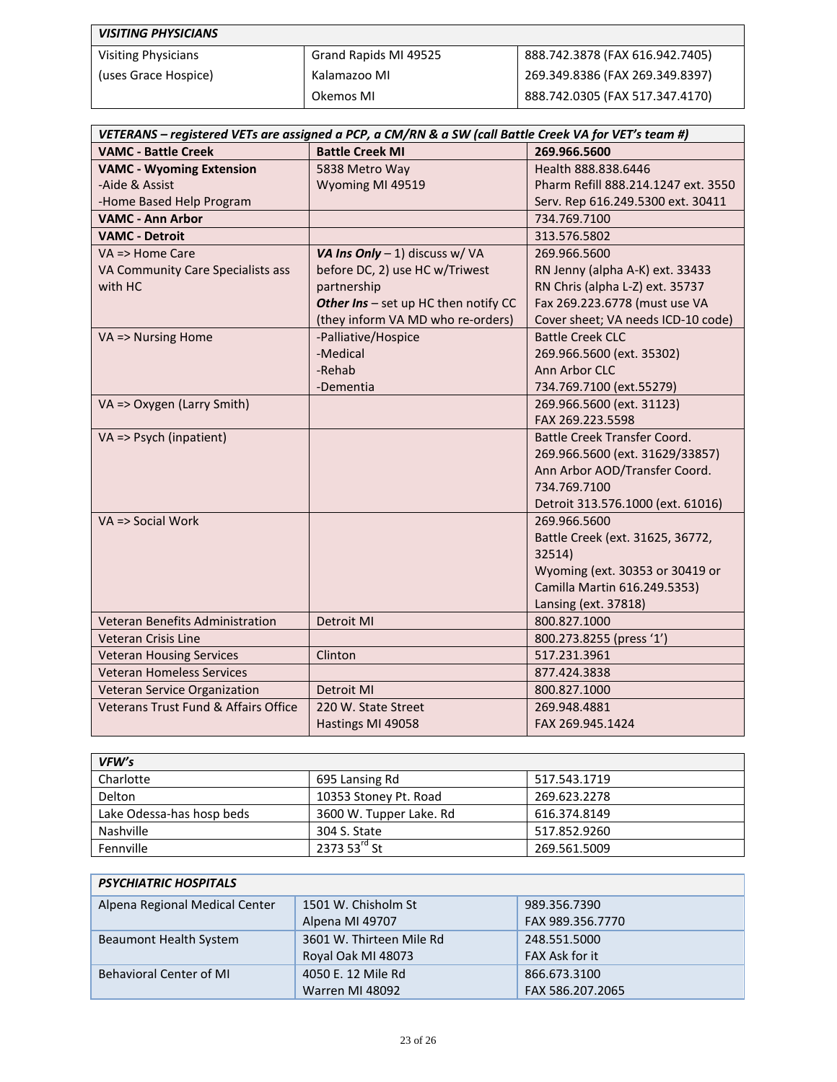| <b>VISITING PHYSICIANS</b> |                       |                                 |
|----------------------------|-----------------------|---------------------------------|
| <b>Visiting Physicians</b> | Grand Rapids MI 49525 | 888.742.3878 (FAX 616.942.7405) |
| (uses Grace Hospice)       | Kalamazoo MI          | 269.349.8386 (FAX 269.349.8397) |
|                            | Okemos MI             | 888.742.0305 (FAX 517.347.4170) |

| VETERANS - registered VETs are assigned a PCP, a CM/RN & a SW (call Battle Creek VA for VET's team #) |                                      |                                     |  |  |
|-------------------------------------------------------------------------------------------------------|--------------------------------------|-------------------------------------|--|--|
| <b>VAMC - Battle Creek</b>                                                                            | <b>Battle Creek MI</b>               | 269.966.5600                        |  |  |
| <b>VAMC - Wyoming Extension</b>                                                                       | 5838 Metro Way                       | Health 888, 838, 6446               |  |  |
| -Aide & Assist                                                                                        | Wyoming MI 49519                     | Pharm Refill 888.214.1247 ext. 3550 |  |  |
| -Home Based Help Program                                                                              |                                      | Serv. Rep 616.249.5300 ext. 30411   |  |  |
| <b>VAMC - Ann Arbor</b>                                                                               |                                      | 734.769.7100                        |  |  |
| <b>VAMC - Detroit</b>                                                                                 |                                      | 313.576.5802                        |  |  |
| $VA \Rightarrow$ Home Care                                                                            | VA Ins Only - 1) discuss w/ VA       | 269.966.5600                        |  |  |
| VA Community Care Specialists ass                                                                     | before DC, 2) use HC w/Triwest       | RN Jenny (alpha A-K) ext. 33433     |  |  |
| with HC                                                                                               | partnership                          | RN Chris (alpha L-Z) ext. 35737     |  |  |
|                                                                                                       | Other Ins - set up HC then notify CC | Fax 269.223.6778 (must use VA       |  |  |
|                                                                                                       | (they inform VA MD who re-orders)    | Cover sheet; VA needs ICD-10 code)  |  |  |
| VA => Nursing Home                                                                                    | -Palliative/Hospice                  | <b>Battle Creek CLC</b>             |  |  |
|                                                                                                       | -Medical                             | 269.966.5600 (ext. 35302)           |  |  |
|                                                                                                       | -Rehab                               | Ann Arbor CLC                       |  |  |
|                                                                                                       | -Dementia                            | 734.769.7100 (ext.55279)            |  |  |
| VA => Oxygen (Larry Smith)                                                                            |                                      | 269.966.5600 (ext. 31123)           |  |  |
|                                                                                                       |                                      | FAX 269.223.5598                    |  |  |
| VA => Psych (inpatient)                                                                               |                                      | Battle Creek Transfer Coord.        |  |  |
|                                                                                                       |                                      | 269.966.5600 (ext. 31629/33857)     |  |  |
|                                                                                                       |                                      | Ann Arbor AOD/Transfer Coord.       |  |  |
|                                                                                                       |                                      | 734.769.7100                        |  |  |
|                                                                                                       |                                      | Detroit 313.576.1000 (ext. 61016)   |  |  |
| $VA \Rightarrow$ Social Work                                                                          |                                      | 269.966.5600                        |  |  |
|                                                                                                       |                                      | Battle Creek (ext. 31625, 36772,    |  |  |
|                                                                                                       |                                      | 32514)                              |  |  |
|                                                                                                       |                                      | Wyoming (ext. 30353 or 30419 or     |  |  |
|                                                                                                       |                                      | Camilla Martin 616.249.5353)        |  |  |
|                                                                                                       |                                      | Lansing (ext. 37818)                |  |  |
| Veteran Benefits Administration                                                                       | <b>Detroit MI</b>                    | 800.827.1000                        |  |  |
| Veteran Crisis Line                                                                                   |                                      | 800.273.8255 (press '1')            |  |  |
| <b>Veteran Housing Services</b>                                                                       | Clinton                              | 517.231.3961                        |  |  |
| <b>Veteran Homeless Services</b>                                                                      |                                      | 877.424.3838                        |  |  |
| Veteran Service Organization                                                                          | Detroit MI                           | 800.827.1000                        |  |  |
| Veterans Trust Fund & Affairs Office                                                                  | 220 W. State Street                  | 269.948.4881                        |  |  |
|                                                                                                       | Hastings MI 49058                    | FAX 269.945.1424                    |  |  |

| VFW's                     |                           |              |  |
|---------------------------|---------------------------|--------------|--|
| Charlotte                 | 695 Lansing Rd            | 517.543.1719 |  |
| Delton                    | 10353 Stoney Pt. Road     | 269.623.2278 |  |
| Lake Odessa-has hosp beds | 3600 W. Tupper Lake. Rd   | 616.374.8149 |  |
| Nashville                 | 304 S. State              | 517.852.9260 |  |
| Fennville                 | 2373 53 $^{\text{rd}}$ St | 269.561.5009 |  |

| <b>PSYCHIATRIC HOSPITALS</b>   |                          |                  |  |
|--------------------------------|--------------------------|------------------|--|
| Alpena Regional Medical Center | 1501 W. Chisholm St      | 989.356.7390     |  |
|                                | Alpena MI 49707          | FAX 989.356.7770 |  |
| Beaumont Health System         | 3601 W. Thirteen Mile Rd | 248.551.5000     |  |
|                                | Royal Oak MI 48073       | FAX Ask for it   |  |
| <b>Behavioral Center of MI</b> | 4050 E. 12 Mile Rd       | 866.673.3100     |  |
|                                | Warren MI 48092          | FAX 586.207.2065 |  |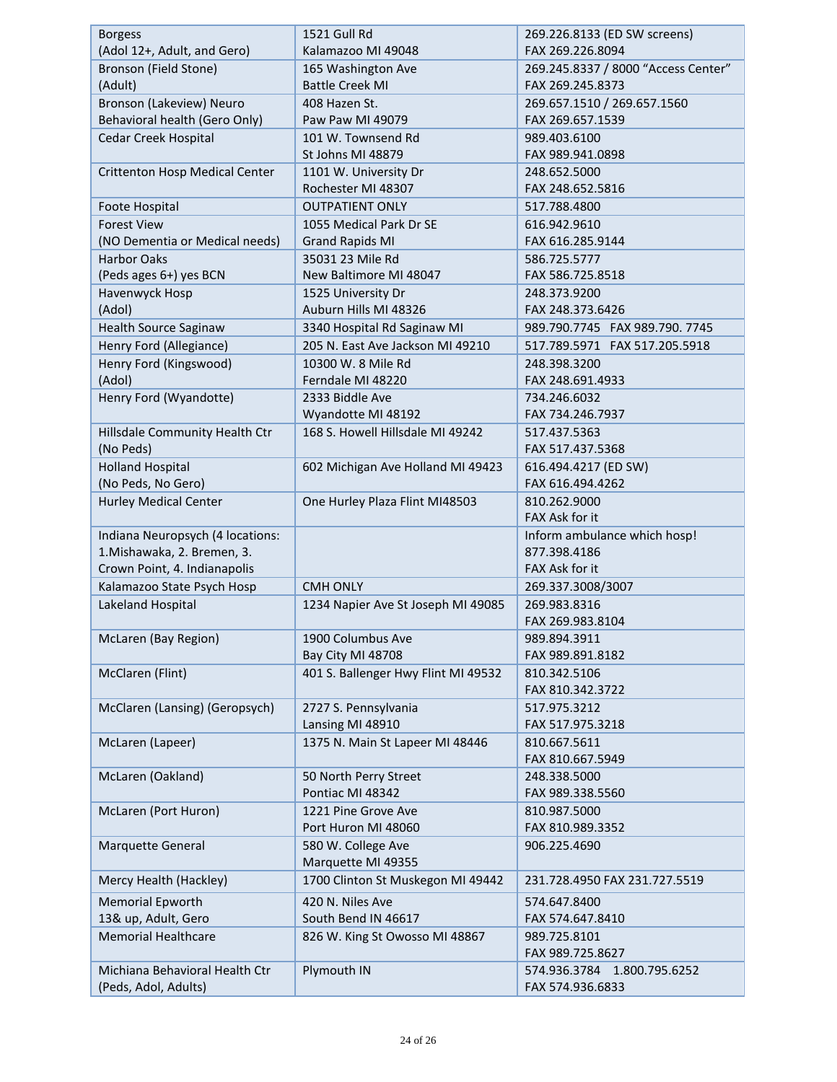| <b>Borgess</b>                        | <b>1521 Gull Rd</b>                 | 269.226.8133 (ED SW screens)        |  |
|---------------------------------------|-------------------------------------|-------------------------------------|--|
| (Adol 12+, Adult, and Gero)           | Kalamazoo MI 49048                  | FAX 269.226.8094                    |  |
| Bronson (Field Stone)                 | 165 Washington Ave                  | 269.245.8337 / 8000 "Access Center" |  |
| (Adult)                               | <b>Battle Creek MI</b>              | FAX 269.245.8373                    |  |
| Bronson (Lakeview) Neuro              | 408 Hazen St.                       | 269.657.1510 / 269.657.1560         |  |
| Behavioral health (Gero Only)         | Paw Paw MI 49079                    | FAX 269.657.1539                    |  |
| Cedar Creek Hospital                  | 101 W. Townsend Rd                  | 989.403.6100                        |  |
|                                       | St Johns MI 48879                   | FAX 989.941.0898                    |  |
| <b>Crittenton Hosp Medical Center</b> | 1101 W. University Dr               | 248.652.5000                        |  |
|                                       | Rochester MI 48307                  | FAX 248.652.5816                    |  |
| Foote Hospital                        | <b>OUTPATIENT ONLY</b>              | 517.788.4800                        |  |
| <b>Forest View</b>                    | 1055 Medical Park Dr SE             | 616.942.9610                        |  |
| (NO Dementia or Medical needs)        | <b>Grand Rapids MI</b>              | FAX 616.285.9144                    |  |
| <b>Harbor Oaks</b>                    | 35031 23 Mile Rd                    | 586.725.5777                        |  |
| (Peds ages 6+) yes BCN                | New Baltimore MI 48047              | FAX 586.725.8518                    |  |
| Havenwyck Hosp                        | 1525 University Dr                  | 248.373.9200                        |  |
| (Adol)                                | Auburn Hills MI 48326               | FAX 248.373.6426                    |  |
| Health Source Saginaw                 | 3340 Hospital Rd Saginaw MI         | 989.790.7745 FAX 989.790.7745       |  |
| Henry Ford (Allegiance)               | 205 N. East Ave Jackson MI 49210    | 517.789.5971  FAX 517.205.5918      |  |
| Henry Ford (Kingswood)                | 10300 W. 8 Mile Rd                  | 248.398.3200                        |  |
| (Adol)                                | Ferndale MI 48220                   | FAX 248.691.4933                    |  |
| Henry Ford (Wyandotte)                | 2333 Biddle Ave                     | 734.246.6032                        |  |
|                                       | Wyandotte MI 48192                  | FAX 734.246.7937                    |  |
| Hillsdale Community Health Ctr        | 168 S. Howell Hillsdale MI 49242    | 517.437.5363                        |  |
| (No Peds)                             |                                     | FAX 517.437.5368                    |  |
| <b>Holland Hospital</b>               | 602 Michigan Ave Holland MI 49423   | 616.494.4217 (ED SW)                |  |
| (No Peds, No Gero)                    |                                     | FAX 616.494.4262                    |  |
| <b>Hurley Medical Center</b>          | One Hurley Plaza Flint MI48503      | 810.262.9000                        |  |
|                                       |                                     | FAX Ask for it                      |  |
| Indiana Neuropsych (4 locations:      |                                     | Inform ambulance which hosp!        |  |
| 1. Mishawaka, 2. Bremen, 3.           |                                     | 877.398.4186                        |  |
| Crown Point, 4. Indianapolis          |                                     | FAX Ask for it                      |  |
| Kalamazoo State Psych Hosp            | <b>CMH ONLY</b>                     | 269.337.3008/3007                   |  |
| Lakeland Hospital                     | 1234 Napier Ave St Joseph MI 49085  | 269.983.8316                        |  |
|                                       |                                     | FAX 269.983.8104                    |  |
| McLaren (Bay Region)                  | 1900 Columbus Ave                   | 989.894.3911                        |  |
|                                       | Bay City MI 48708                   | FAX 989.891.8182                    |  |
| McClaren (Flint)                      | 401 S. Ballenger Hwy Flint MI 49532 | 810.342.5106                        |  |
|                                       |                                     | FAX 810.342.3722                    |  |
| McClaren (Lansing) (Geropsych)        | 2727 S. Pennsylvania                | 517.975.3212                        |  |
|                                       | Lansing MI 48910                    | FAX 517.975.3218                    |  |
| McLaren (Lapeer)                      | 1375 N. Main St Lapeer MI 48446     | 810.667.5611                        |  |
|                                       |                                     | FAX 810.667.5949                    |  |
| McLaren (Oakland)                     | 50 North Perry Street               | 248.338.5000                        |  |
|                                       | Pontiac MI 48342                    | FAX 989.338.5560                    |  |
| McLaren (Port Huron)                  | 1221 Pine Grove Ave                 | 810.987.5000                        |  |
|                                       | Port Huron MI 48060                 | FAX 810.989.3352                    |  |
| Marquette General                     | 580 W. College Ave                  | 906.225.4690                        |  |
|                                       | Marquette MI 49355                  |                                     |  |
| Mercy Health (Hackley)                | 1700 Clinton St Muskegon MI 49442   | 231.728.4950 FAX 231.727.5519       |  |
| Memorial Epworth                      | 420 N. Niles Ave                    | 574.647.8400                        |  |
| 13& up, Adult, Gero                   | South Bend IN 46617                 | FAX 574.647.8410                    |  |
| <b>Memorial Healthcare</b>            | 826 W. King St Owosso MI 48867      | 989.725.8101                        |  |
|                                       |                                     | FAX 989.725.8627                    |  |
| Michiana Behavioral Health Ctr        | Plymouth IN                         | 574.936.3784 1.800.795.6252         |  |
| (Peds, Adol, Adults)                  |                                     | FAX 574.936.6833                    |  |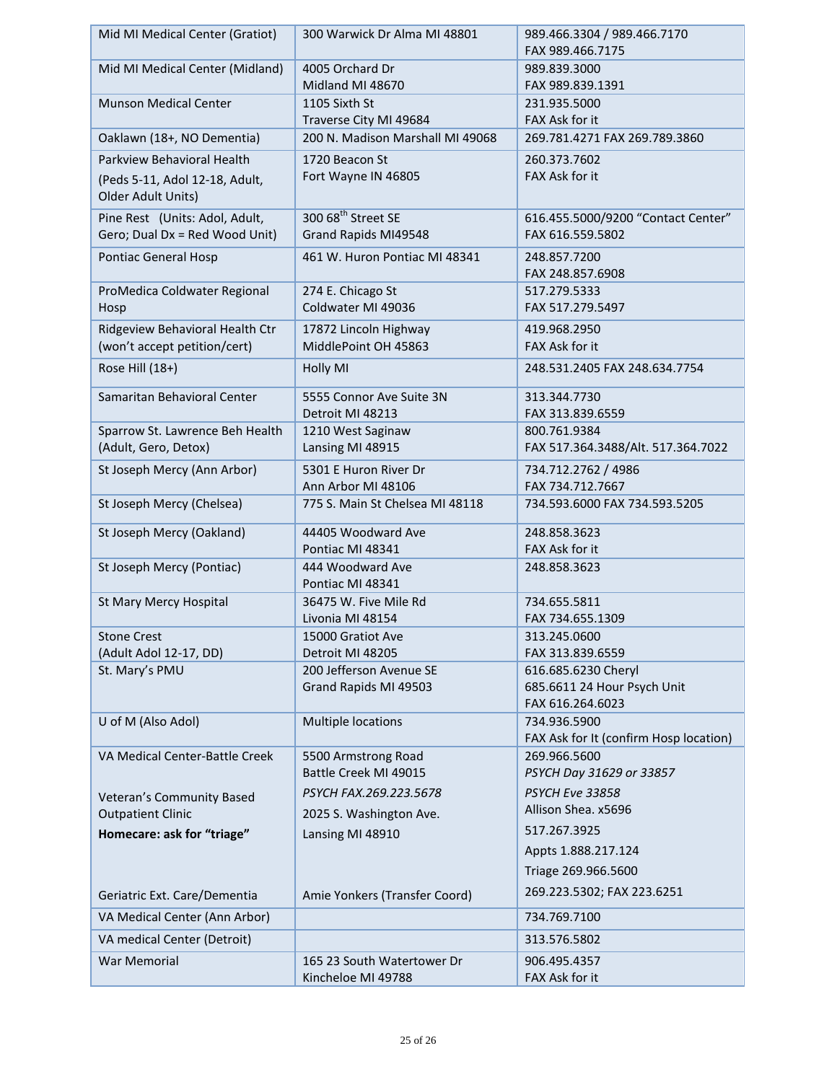| Mid MI Medical Center (Gratiot) | 300 Warwick Dr Alma MI 48801                               | 989.466.3304 / 989.466.7170                            |  |
|---------------------------------|------------------------------------------------------------|--------------------------------------------------------|--|
|                                 |                                                            | FAX 989.466.7175                                       |  |
| Mid MI Medical Center (Midland) | 4005 Orchard Dr                                            | 989.839.3000                                           |  |
|                                 | Midland MI 48670                                           | FAX 989.839.1391                                       |  |
| <b>Munson Medical Center</b>    | 1105 Sixth St                                              | 231.935.5000                                           |  |
|                                 | Traverse City MI 49684<br>200 N. Madison Marshall MI 49068 | FAX Ask for it                                         |  |
| Oaklawn (18+, NO Dementia)      |                                                            | 269.781.4271 FAX 269.789.3860                          |  |
| Parkview Behavioral Health      | 1720 Beacon St                                             | 260.373.7602                                           |  |
| (Peds 5-11, Adol 12-18, Adult,  | Fort Wayne IN 46805                                        | FAX Ask for it                                         |  |
| Older Adult Units)              |                                                            |                                                        |  |
| Pine Rest (Units: Adol, Adult,  | 300 68 <sup>th</sup> Street SE                             | 616.455.5000/9200 "Contact Center"                     |  |
| Gero; Dual Dx = Red Wood Unit)  | Grand Rapids MI49548                                       | FAX 616.559.5802                                       |  |
| Pontiac General Hosp            | 461 W. Huron Pontiac MI 48341                              | 248.857.7200                                           |  |
|                                 |                                                            | FAX 248.857.6908                                       |  |
| ProMedica Coldwater Regional    | 274 E. Chicago St                                          | 517.279.5333                                           |  |
| Hosp                            | Coldwater MI 49036                                         | FAX 517.279.5497                                       |  |
| Ridgeview Behavioral Health Ctr | 17872 Lincoln Highway                                      | 419.968.2950                                           |  |
| (won't accept petition/cert)    | MiddlePoint OH 45863                                       | FAX Ask for it                                         |  |
| Rose Hill (18+)                 | Holly MI                                                   | 248.531.2405 FAX 248.634.7754                          |  |
| Samaritan Behavioral Center     | 5555 Connor Ave Suite 3N                                   | 313.344.7730                                           |  |
|                                 | Detroit MI 48213                                           | FAX 313.839.6559                                       |  |
| Sparrow St. Lawrence Beh Health | 1210 West Saginaw                                          | 800.761.9384                                           |  |
| (Adult, Gero, Detox)            | Lansing MI 48915                                           | FAX 517.364.3488/Alt. 517.364.7022                     |  |
| St Joseph Mercy (Ann Arbor)     | 5301 E Huron River Dr                                      | 734.712.2762 / 4986                                    |  |
|                                 | Ann Arbor MI 48106                                         | FAX 734.712.7667                                       |  |
| St Joseph Mercy (Chelsea)       | 775 S. Main St Chelsea MI 48118                            | 734.593.6000 FAX 734.593.5205                          |  |
| St Joseph Mercy (Oakland)       | 44405 Woodward Ave                                         | 248.858.3623                                           |  |
|                                 | Pontiac MI 48341                                           | FAX Ask for it                                         |  |
| St Joseph Mercy (Pontiac)       | 444 Woodward Ave<br>Pontiac MI 48341                       | 248.858.3623                                           |  |
| St Mary Mercy Hospital          | 36475 W. Five Mile Rd                                      | 734.655.5811                                           |  |
|                                 | Livonia MI 48154                                           | FAX 734.655.1309                                       |  |
| <b>Stone Crest</b>              | 15000 Gratiot Ave                                          | 313.245.0600                                           |  |
| (Adult Adol 12-17, DD)          | Detroit MI 48205                                           | FAX 313.839.6559                                       |  |
| St. Mary's PMU                  | 200 Jefferson Avenue SE                                    | 616.685.6230 Cheryl                                    |  |
|                                 | Grand Rapids MI 49503                                      | 685.6611 24 Hour Psych Unit                            |  |
|                                 |                                                            | FAX 616.264.6023                                       |  |
| U of M (Also Adol)              | Multiple locations                                         | 734.936.5900<br>FAX Ask for It (confirm Hosp location) |  |
| VA Medical Center-Battle Creek  | 5500 Armstrong Road                                        | 269.966.5600                                           |  |
|                                 | Battle Creek MI 49015                                      | PSYCH Day 31629 or 33857                               |  |
|                                 |                                                            | <b>PSYCH Eve 33858</b>                                 |  |
| Veteran's Community Based       | PSYCH FAX.269.223.5678                                     | Allison Shea. x5696                                    |  |
| <b>Outpatient Clinic</b>        | 2025 S. Washington Ave.                                    |                                                        |  |
| Homecare: ask for "triage"      | Lansing MI 48910                                           | 517.267.3925                                           |  |
|                                 |                                                            | Appts 1.888.217.124                                    |  |
|                                 |                                                            | Triage 269.966.5600                                    |  |
| Geriatric Ext. Care/Dementia    | Amie Yonkers (Transfer Coord)                              | 269.223.5302; FAX 223.6251                             |  |
| VA Medical Center (Ann Arbor)   |                                                            | 734.769.7100                                           |  |
| VA medical Center (Detroit)     |                                                            | 313.576.5802                                           |  |
| <b>War Memorial</b>             | 165 23 South Watertower Dr                                 | 906.495.4357                                           |  |
|                                 | Kincheloe MI 49788                                         | FAX Ask for it                                         |  |